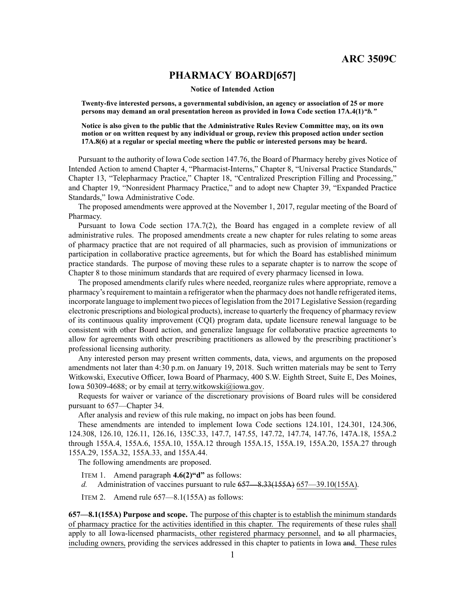# **PHARMACY BOARD[657]**

#### **Notice of Intended Action**

**Twenty-five interested persons, <sup>a</sup> governmental subdivision, an agency or association of 25 or more persons may demand an oral presentation hereon as provided in Iowa Code section [17A.4\(1\)](https://www.legis.iowa.gov/docs/ico/section/17A.4.pdf)***"b."*

**Notice is also given to the public that the Administrative Rules Review Committee may, on its own motion or on written request by any individual or group, review this proposed action under section [17A.8\(6\)](https://www.legis.iowa.gov/docs/ico/section/17A.8.pdf) at <sup>a</sup> regular or special meeting where the public or interested persons may be heard.**

Pursuant to the authority of Iowa Code section 147.76, the Board of Pharmacy hereby gives Notice of Intended Action to amend Chapter 4, "Pharmacist-Interns," Chapter 8, "Universal Practice Standards," Chapter 13, "Telepharmacy Practice," Chapter 18, "Centralized Prescription Filling and Processing," and Chapter 19, "Nonresident Pharmacy Practice," and to adopt new Chapter 39, "Expanded Practice Standards," Iowa Administrative Code.

The proposed amendments were approved at the November 1, 2017, regular meeting of the Board of Pharmacy.

Pursuant to Iowa Code section 17A.7(2), the Board has engaged in <sup>a</sup> complete review of all administrative rules. The proposed amendments create <sup>a</sup> new chapter for rules relating to some areas of pharmacy practice that are not required of all pharmacies, such as provision of immunizations or participation in collaborative practice agreements, but for which the Board has established minimum practice standards. The purpose of moving these rules to <sup>a</sup> separate chapter is to narrow the scope of Chapter 8 to those minimum standards that are required of every pharmacy licensed in Iowa.

The proposed amendments clarify rules where needed, reorganize rules where appropriate, remove <sup>a</sup> pharmacy's requirement to maintain a refrigerator when the pharmacy does not handle refrigerated items, incorporate language to implement two pieces of legislation from the 2017 Legislative Session (regarding electronic prescriptions and biological products), increase to quarterly the frequency of pharmacy review of its continuous quality improvement (CQI) program data, update licensure renewal language to be consistent with other Board action, and generalize language for collaborative practice agreements to allow for agreements with other prescribing practitioners as allowed by the prescribing practitioner's professional licensing authority.

Any interested person may presen<sup>t</sup> written comments, data, views, and arguments on the proposed amendments not later than 4:30 p.m. on January 19, 2018. Such written materials may be sent to Terry Witkowski, Executive Officer, Iowa Board of Pharmacy, 400 S.W. Eighth Street, Suite E, Des Moines, Iowa 50309-4688; or by email at [terry.witkowski@iowa.gov](mailto:terry.witkowski@iowa.gov).

Requests for waiver or variance of the discretionary provisions of Board rules will be considered pursuan<sup>t</sup> to 657—Chapter 34.

After analysis and review of this rule making, no impact on jobs has been found.

These amendments are intended to implement Iowa Code sections 124.101, 124.301, 124.306, 124.308, 126.10, 126.11, 126.16, 135C.33, 147.7, 147.55, 147.72, 147.74, 147.76, 147A.18, 155A.2 through 155A.4, 155A.6, 155A.10, 155A.12 through 155A.15, 155A.19, 155A.20, 155A.27 through 155A.29, 155A.32, 155A.33, and 155A.44.

The following amendments are proposed.

- ITEM 1. Amend paragraph **4.6(2)"d"** as follows:
- *d.* Administration of vaccines pursuan<sup>t</sup> to rule [657—8.33](https://www.legis.iowa.gov/docs/iac/rule/657.8.33.pdf)(155A) [657—39.10](https://www.legis.iowa.gov/docs/iac/rule/657.39.10.pdf)(155A).

ITEM 2. Amend rule 657—8.1(155A) as follows:

**657—8.1(155A) Purpose and scope.** The purpose of this chapter is to establish the minimum standards of pharmacy practice for the activities identified in this chapter. The requirements of these rules shall apply to all Iowa-licensed pharmacists, other registered pharmacy personnel, and to all pharmacies, including owners, providing the services addressed in this chapter to patients in Iowa and. These rules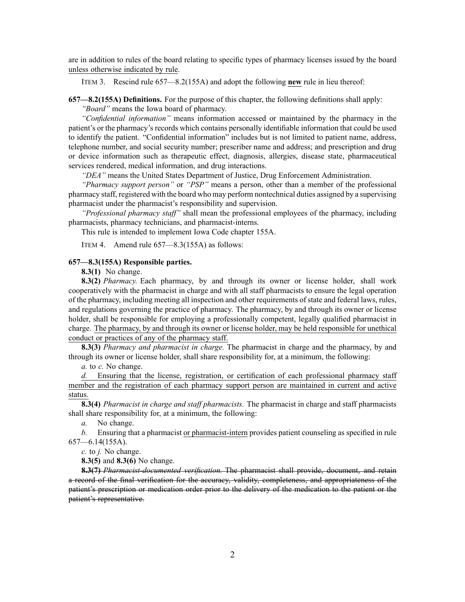are in addition to rules of the board relating to specific types of pharmacy licenses issued by the board unless otherwise indicated by rule.

ITEM 3. Rescind rule 657—8.2(155A) and adopt the following **new** rule in lieu thereof:

**657—8.2(155A) Definitions.** For the purpose of this chapter, the following definitions shall apply:

*"Board"* means the Iowa board of pharmacy.

*"Confidential information"* means information accessed or maintained by the pharmacy in the patient's or the pharmacy's records which contains personally identifiable information that could be used to identify the patient. "Confidential information" includes but is not limited to patient name, address, telephone number, and social security number; prescriber name and address; and prescription and drug or device information such as therapeutic effect, diagnosis, allergies, disease state, pharmaceutical services rendered, medical information, and drug interactions.

*"DEA"* means the United States Department of Justice, Drug Enforcement Administration.

*"Pharmacy suppor<sup>t</sup> person"* or *"PSP"* means <sup>a</sup> person, other than <sup>a</sup> member of the professional pharmacy staff, registered with the board who may perform nontechnical duties assigned by <sup>a</sup> supervising pharmacist under the pharmacist's responsibility and supervision.

*"Professional pharmacy staff"* shall mean the professional employees of the pharmacy, including pharmacists, pharmacy technicians, and pharmacist-interns.

This rule is intended to implement Iowa Code chapter [155A](https://www.legis.iowa.gov/docs/ico/chapter/2017/155A.pdf).

ITEM 4. Amend rule 657—8.3(155A) as follows:

## **657—8.3(155A) Responsible parties.**

**8.3(1)** No change.

**8.3(2)** *Pharmacy.* Each pharmacy, by and through its owner or license holder, shall work cooperatively with the pharmacist in charge and with all staff pharmacists to ensure the legal operation of the pharmacy, including meeting all inspection and other requirements of state and federal laws, rules, and regulations governing the practice of pharmacy. The pharmacy, by and through its owner or license holder, shall be responsible for employing <sup>a</sup> professionally competent, legally qualified pharmacist in charge. The pharmacy, by and through its owner or license holder, may be held responsible for unethical conduct or practices of any of the pharmacy staff.

**8.3(3)** *Pharmacy and pharmacist in charge.* The pharmacist in charge and the pharmacy, by and through its owner or license holder, shall share responsibility for, at <sup>a</sup> minimum, the following:

*a.* to *c.* No change.

*d.* Ensuring that the license, registration, or certification of each professional pharmacy staff member and the registration of each pharmacy suppor<sup>t</sup> person are maintained in current and active status.

**8.3(4)** *Pharmacist in charge and staff pharmacists.* The pharmacist in charge and staff pharmacists shall share responsibility for, at <sup>a</sup> minimum, the following:

*a.* No change.

*b.* Ensuring that <sup>a</sup> pharmacist or pharmacist-intern provides patient counseling as specified in rule [657—6.14](https://www.legis.iowa.gov/docs/iac/rule/657.6.14.pdf)(155A).

*c.* to *j.* No change.

**8.3(5)** and **8.3(6)** No change.

**8.3(7)** *Pharmacist-documented verification.* The pharmacist shall provide, document, and retain <sup>a</sup> record of the final verification for the accuracy, validity, completeness, and appropriateness of the patient's prescription or medication order prior to the delivery of the medication to the patient or the patient's representative.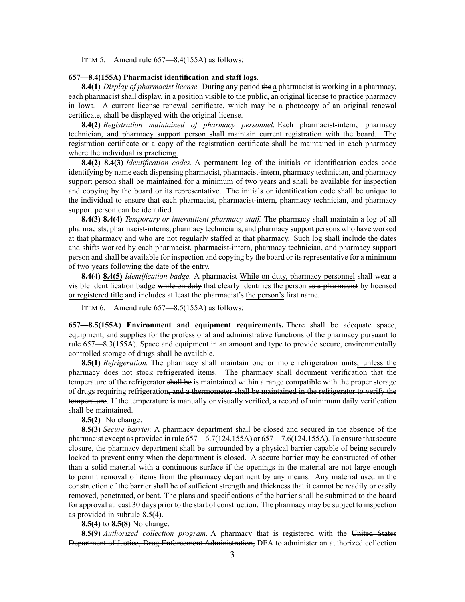ITEM 5. Amend rule 657—8.4(155A) as follows:

#### **657—8.4(155A) Pharmacist identification and staff logs.**

**8.4(1)** *Display of pharmacist license.* During any period the <sup>a</sup> pharmacist is working in <sup>a</sup> pharmacy, each pharmacist shall display, in <sup>a</sup> position visible to the public, an original license to practice pharmacy in Iowa. A current license renewal certificate, which may be <sup>a</sup> photocopy of an original renewal certificate, shall be displayed with the original license.

**8.4(2)** *Registration maintained of pharmacy personnel.* Each pharmacist-intern, pharmacy technician, and pharmacy suppor<sup>t</sup> person shall maintain current registration with the board. The registration certificate or <sup>a</sup> copy of the registration certificate shall be maintained in each pharmacy where the individual is practicing.

**8.4(2) 8.4(3)** *Identification codes.* A permanen<sup>t</sup> log of the initials or identification codes code identifying by name each dispensing pharmacist, pharmacist-intern, pharmacy technician, and pharmacy suppor<sup>t</sup> person shall be maintained for <sup>a</sup> minimum of two years and shall be available for inspection and copying by the board or its representative. The initials or identification code shall be unique to the individual to ensure that each pharmacist, pharmacist-intern, pharmacy technician, and pharmacy suppor<sup>t</sup> person can be identified.

**8.4(3) 8.4(4)** *Temporary or intermittent pharmacy staff.* The pharmacy shall maintain <sup>a</sup> log of all pharmacists, pharmacist-interns, pharmacy technicians, and pharmacy suppor<sup>t</sup> persons who have worked at that pharmacy and who are not regularly staffed at that pharmacy. Such log shall include the dates and shifts worked by each pharmacist, pharmacist-intern, pharmacy technician, and pharmacy suppor<sup>t</sup> person and shall be available for inspection and copying by the board or its representative for <sup>a</sup> minimum of two years following the date of the entry.

**8.4(4) 8.4(5)** *Identification badge.* A pharmacist While on duty, pharmacy personnel shall wear <sup>a</sup> visible identification badge while on duty that clearly identifies the person as <sup>a</sup> pharmacist by licensed or registered title and includes at least the pharmacist's the person's first name.

ITEM 6. Amend rule 657—8.5(155A) as follows:

**657—8.5(155A) Environment and equipment requirements.** There shall be adequate space, equipment, and supplies for the professional and administrative functions of the pharmacy pursuan<sup>t</sup> to rule [657—8.3](https://www.legis.iowa.gov/docs/iac/rule/657.8.3.pdf)(155A). Space and equipment in an amount and type to provide secure, environmentally controlled storage of drugs shall be available.

**8.5(1)** *Refrigeration.* The pharmacy shall maintain one or more refrigeration units, unless the pharmacy does not stock refrigerated items. The pharmacy shall document verification that the temperature of the refrigerator shall be is maintained within <sup>a</sup> range compatible with the proper storage of drugs requiring refrigeration, and <sup>a</sup> thermometer shall be maintained in the refrigerator to verify the temperature. If the temperature is manually or visually verified, <sup>a</sup> record of minimum daily verification shall be maintained.

**8.5(2)** No change.

**8.5(3)** *Secure barrier.* A pharmacy department shall be closed and secured in the absence of the pharmacist except as provided in rule [657—6.7\(](https://www.legis.iowa.gov/docs/iac/rule/657.6.7.pdf)124,155A) or [657—7.6\(](https://www.legis.iowa.gov/docs/iac/rule/657.7.6.pdf)124,155A). To ensure that secure closure, the pharmacy department shall be surrounded by <sup>a</sup> physical barrier capable of being securely locked to preven<sup>t</sup> entry when the department is closed. A secure barrier may be constructed of other than <sup>a</sup> solid material with <sup>a</sup> continuous surface if the openings in the material are not large enough to permit removal of items from the pharmacy department by any means. Any material used in the construction of the barrier shall be of sufficient strength and thickness that it cannot be readily or easily removed, penetrated, or bent. The plans and specifications of the barrier shall be submitted to the board for approval at least 30 days prior to the start of construction. The pharmacy may be subject to inspection as provided in subrule [8.5\(4\)](https://www.legis.iowa.gov/docs/iac/rule/657.8.5.pdf).

**8.5(4)** to **8.5(8)** No change.

**8.5(9)** *Authorized collection program.* A pharmacy that is registered with the United States Department of Justice, Drug Enforcement Administration, DEA to administer an authorized collection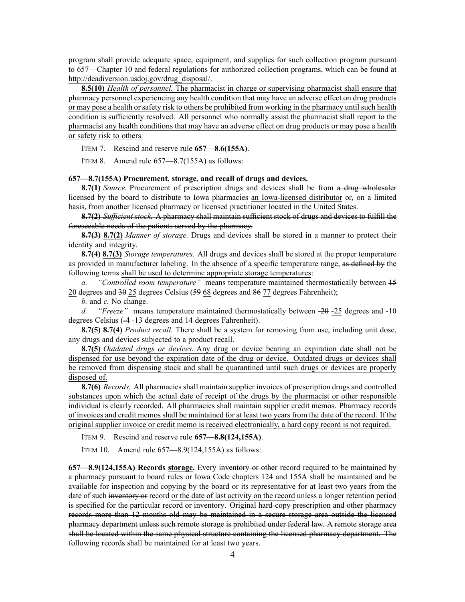program shall provide adequate space, equipment, and supplies for such collection program pursuan<sup>t</sup> to [657—Chapter](https://www.legis.iowa.gov/docs/iac/chapter/657.10.pdf) 10 and federal regulations for authorized collection programs, which can be found at [http://deadiversion.usdoj.gov/drug\\_disposal/](http://deadiversion.usdoj.gov/drug_disposal/).

**8.5(10)** *Health of personnel.* The pharmacist in charge or supervising pharmacist shall ensure that pharmacy personnel experiencing any health condition that may have an adverse effect on drug products or may pose <sup>a</sup> health orsafety risk to others be prohibited from working in the pharmacy untilsuch health condition is sufficiently resolved. All personnel who normally assist the pharmacist shall repor<sup>t</sup> to the pharmacist any health conditions that may have an adverse effect on drug products or may pose <sup>a</sup> health or safety risk to others.

ITEM 7. Rescind and reserve rule **657—8.6(155A)**.

ITEM 8. Amend rule 657—8.7(155A) as follows:

#### **657—8.7(155A) Procurement, storage, and recall of drugs and devices.**

**8.7(1)** *Source.* Procurement of prescription drugs and devices shall be from <sup>a</sup> drug wholesaler licensed by the board to distribute to Iowa pharmacies an Iowa-licensed distributor or, on <sup>a</sup> limited basis, from another licensed pharmacy or licensed practitioner located in the United States.

**8.7(2)** *Sufficient stock.* A pharmacy shall maintain sufficient stock of drugs and devices to fulfill the foreseeable needs of the patients served by the pharmacy.

**8.7(3) 8.7(2)** *Manner of storage.* Drugs and devices shall be stored in <sup>a</sup> manner to protect their identity and integrity.

**8.7(4) 8.7(3)** *Storage temperatures.* All drugs and devices shall be stored at the proper temperature as provided in manufacturer labeling. In the absence of <sup>a</sup> specific temperature range, as defined by the following terms shall be used to determine appropriate storage temperatures:

*a. "Controlled room temperature"* means temperature maintained thermostatically between 15 20 degrees and 30 25 degrees Celsius (59 68 degrees and 86 77 degrees Fahrenheit);

*b.* and *c.* No change.

*d. "Freeze"* means temperature maintained thermostatically between -20 -25 degrees and -10 degrees Celsius (-4 -13 degrees and 14 degrees Fahrenheit).

**8.7(5) 8.7(4)** *Product recall.* There shall be <sup>a</sup> system for removing from use, including unit dose, any drugs and devices subjected to <sup>a</sup> product recall.

**8.7(5)** *Outdated drugs or devices.* Any drug or device bearing an expiration date shall not be dispensed for use beyond the expiration date of the drug or device. Outdated drugs or devices shall be removed from dispensing stock and shall be quarantined until such drugs or devices are properly disposed of.

**8.7(6)** *Records.* All pharmacies shall maintain supplier invoices of prescription drugs and controlled substances upon which the actual date of receipt of the drugs by the pharmacist or other responsible individual is clearly recorded. All pharmacies shall maintain supplier credit memos. Pharmacy records of invoices and credit memos shall be maintained for at least two years from the date of the record. If the original supplier invoice or credit memo is received electronically, <sup>a</sup> hard copy record is not required.

ITEM 9. Rescind and reserve rule **657—8.8(124,155A)**.

ITEM 10. Amend rule 657—8.9(124,155A) as follows:

**657—8.9(124,155A) Records storage.** Every inventory or other record required to be maintained by <sup>a</sup> pharmacy pursuan<sup>t</sup> to board rules or Iowa Code chapters [124](https://www.legis.iowa.gov/docs/ico/chapter/124.pdf) and [155A](https://www.legis.iowa.gov/docs/ico/chapter/155A.pdf) shall be maintained and be available for inspection and copying by the board or its representative for at least two years from the date of such inventory or record or the date of last activity on the record unless <sup>a</sup> longer retention period is specified for the particular record or inventory. Original hard-copy prescription and other pharmacy records more than 12 months old may be maintained in <sup>a</sup> secure storage area outside the licensed pharmacy department unless such remote storage is prohibited under federal law. A remote storage area shall be located within the same physical structure containing the licensed pharmacy department. The following records shall be maintained for at least two years.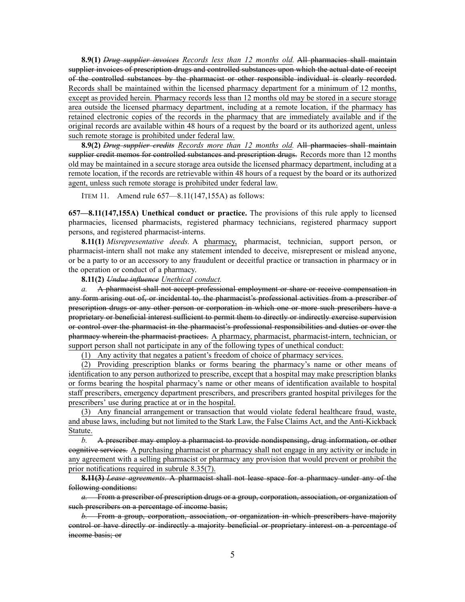**8.9(1)** *Drug supplier invoices Records less than 12 months old.* All pharmacies shall maintain supplier invoices of prescription drugs and controlled substances upon which the actual date of receipt of the controlled substances by the pharmacist or other responsible individual is clearly recorded. Records shall be maintained within the licensed pharmacy department for <sup>a</sup> minimum of 12 months, excep<sup>t</sup> as provided herein. Pharmacy records less than 12 months old may be stored in <sup>a</sup> secure storage area outside the licensed pharmacy department, including at <sup>a</sup> remote location, if the pharmacy has retained electronic copies of the records in the pharmacy that are immediately available and if the original records are available within 48 hours of <sup>a</sup> reques<sup>t</sup> by the board or its authorized agent, unless such remote storage is prohibited under federal law.

**8.9(2)** *Drug supplier credits Records more than 12 months old.* All pharmacies shall maintain supplier credit memos for controlled substances and prescription drugs. Records more than 12 months old may be maintained in <sup>a</sup> secure storage area outside the licensed pharmacy department, including at <sup>a</sup> remote location, if the records are retrievable within 48 hours of <sup>a</sup> reques<sup>t</sup> by the board or its authorized agent, unless such remote storage is prohibited under federal law.

ITEM 11. Amend rule 657—8.11(147,155A) as follows:

**657—8.11(147,155A) Unethical conduct or practice.** The provisions of this rule apply to licensed pharmacies, licensed pharmacists, registered pharmacy technicians, registered pharmacy suppor<sup>t</sup> persons, and registered pharmacist-interns.

**8.11(1)** *Misrepresentative deeds.* A pharmacy, pharmacist, technician, support person, or pharmacist-intern shall not make any statement intended to deceive, misrepresent or mislead anyone, or be <sup>a</sup> party to or an accessory to any fraudulent or deceitful practice or transaction in pharmacy or in the operation or conduct of <sup>a</sup> pharmacy.

**8.11(2)** *Undue influence Unethical conduct.*

*a.* A pharmacist shall not accep<sup>t</sup> professional employment or share or receive compensation in any form arising out of, or incidental to, the pharmacist's professional activities from <sup>a</sup> prescriber of prescription drugs or any other person or corporation in which one or more such prescribers have <sup>a</sup> proprietary or beneficial interest sufficient to permit them to directly or indirectly exercise supervision or control over the pharmacist in the pharmacist's professional responsibilities and duties or over the pharmacy wherein the pharmacist practices. A pharmacy, pharmacist, pharmacist-intern, technician, or suppor<sup>t</sup> person shall not participate in any of the following types of unethical conduct:

(1) Any activity that negates <sup>a</sup> patient's freedom of choice of pharmacy services.

(2) Providing prescription blanks or forms bearing the pharmacy's name or other means of identification to any person authorized to prescribe, excep<sup>t</sup> that <sup>a</sup> hospital may make prescription blanks or forms bearing the hospital pharmacy's name or other means of identification available to hospital staff prescribers, emergency department prescribers, and prescribers granted hospital privileges for the prescribers' use during practice at or in the hospital.

(3) Any financial arrangemen<sup>t</sup> or transaction that would violate federal healthcare fraud, waste, and abuse laws, including but not limited to the Stark Law, the False Claims Act, and the Anti-Kickback Statute.

*b.* A prescriber may employ <sup>a</sup> pharmacist to provide nondispensing, drug information, or other cognitive services. A purchasing pharmacist or pharmacy shall not engage in any activity or include in any agreemen<sup>t</sup> with <sup>a</sup> selling pharmacist or pharmacy any provision that would preven<sup>t</sup> or prohibit the prior notifications required in subrule [8.35\(7\)](https://www.legis.iowa.gov/docs/iac/rule/657.8.35.pdf).

**8.11(3)** *Lease agreements.* A pharmacist shall not lease space for <sup>a</sup> pharmacy under any of the following conditions:

*a.* From <sup>a</sup> prescriber of prescription drugs or <sup>a</sup> group, corporation, association, or organization of such prescribers on a percentage of income basis;

*b.* From <sup>a</sup> group, corporation, association, or organization in which prescribers have majority control or have directly or indirectly <sup>a</sup> majority beneficial or proprietary interest on <sup>a</sup> percentage of income basis; or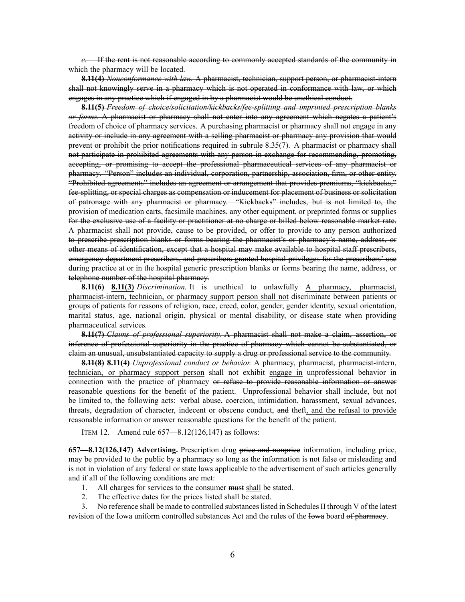*c.* If the rent is not reasonable according to commonly accepted standards of the community in which the pharmacy will be located.

**8.11(4)** *Nonconformance with law.* A pharmacist, technician, suppor<sup>t</sup> person, or pharmacist-intern shall not knowingly serve in <sup>a</sup> pharmacy which is not operated in conformance with law, or which engages in any practice which if engaged in by <sup>a</sup> pharmacist would be unethical conduct.

**8.11(5)** *Freedom of choice/solicitation/kickbacks/fee-splitting and imprinted prescription blanks or forms.* A pharmacist or pharmacy shall not enter into any agreemen<sup>t</sup> which negates <sup>a</sup> patient's freedom of choice of pharmacy services. A purchasing pharmacist or pharmacy shall not engage in any activity or include in any agreemen<sup>t</sup> with <sup>a</sup> selling pharmacist or pharmacy any provision that would preven<sup>t</sup> or prohibit the prior notifications required in subrule [8.35\(7\)](https://www.legis.iowa.gov/docs/iac/rule/657.8.35.pdf). A pharmacist or pharmacy shall not participate in prohibited agreements with any person in exchange for recommending, promoting, accepting, or promising to accep<sup>t</sup> the professional pharmaceutical services of any pharmacist or pharmacy. "Person" includes an individual, corporation, partnership, association, firm, or other entity. "Prohibited agreements" includes an agreemen<sup>t</sup> or arrangemen<sup>t</sup> that provides premiums, "kickbacks," fee-splitting, or special charges as compensation or inducement for placement of business or solicitation of patronage with any pharmacist or pharmacy. "Kickbacks" includes, but is not limited to, the provision of medication carts, facsimile machines, any other equipment, or preprinted forms or supplies for the exclusive use of <sup>a</sup> facility or practitioner at no charge or billed below reasonable market rate. A pharmacist shall not provide, cause to be provided, or offer to provide to any person authorized to prescribe prescription blanks or forms bearing the pharmacist's or pharmacy's name, address, or other means of identification, excep<sup>t</sup> that <sup>a</sup> hospital may make available to hospital staff prescribers, emergency department prescribers, and prescribers granted hospital privileges for the prescribers' use during practice at or in the hospital generic prescription blanks or forms bearing the name, address, or telephone number of the hospital pharmacy.

**8.11(6) 8.11(3)** *Discrimination.* It is unethical to unlawfully A pharmacy, pharmacist, pharmacist-intern, technician, or pharmacy suppor<sup>t</sup> person shall not discriminate between patients or groups of patients for reasons of religion, race, creed, color, gender, gender identity, sexual orientation, marital status, age, national origin, physical or mental disability, or disease state when providing pharmaceutical services.

**8.11(7)** *Claims of professional superiority.* A pharmacist shall not make <sup>a</sup> claim, assertion, or inference of professional superiority in the practice of pharmacy which cannot be substantiated, or claim an unusual, unsubstantiated capacity to supply <sup>a</sup> drug or professional service to the community.

**8.11(8) 8.11(4)** *Unprofessional conduct or behavior.* A pharmacy, pharmacist, pharmacist-intern, technician, or pharmacy suppor<sup>t</sup> person shall not exhibit engage in unprofessional behavior in connection with the practice of pharmacy or refuse to provide reasonable information or answer reasonable questions for the benefit of the patient. Unprofessional behavior shall include, but not be limited to, the following acts: verbal abuse, coercion, intimidation, harassment, sexual advances, threats, degradation of character, indecent or obscene conduct, and theft, and the refusal to provide reasonable information or answer reasonable questions for the benefit of the patient.

ITEM 12. Amend rule 657—8.12(126,147) as follows:

**657—8.12(126,147) Advertising.** Prescription drug price and nonprice information, including price, may be provided to the public by <sup>a</sup> pharmacy so long as the information is not false or misleading and is not in violation of any federal or state laws applicable to the advertisement of such articles generally and if all of the following conditions are met:

- 1. All charges for services to the consumer must shall be stated.
- 2. The effective dates for the prices listed shall be stated.

3. No reference shall be made to controlled substances listed in Schedules II through V of the latest revision of the Iowa uniform controlled substances Act and the rules of the Iowa board of pharmacy.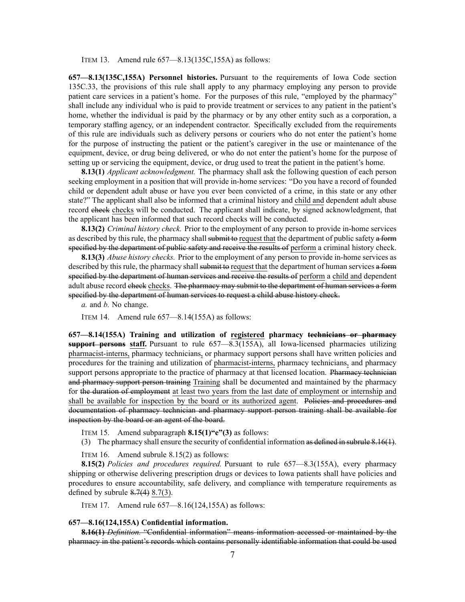ITEM 13. Amend rule 657—8.13(135C,155A) as follows:

**657—8.13(135C,155A) Personnel histories.** Pursuant to the requirements of Iowa Code section [135C.33](https://www.legis.iowa.gov/docs/ico/section/135C.33.pdf), the provisions of this rule shall apply to any pharmacy employing any person to provide patient care services in <sup>a</sup> patient's home. For the purposes of this rule, "employed by the pharmacy" shall include any individual who is paid to provide treatment or services to any patient in the patient's home, whether the individual is paid by the pharmacy or by any other entity such as a corporation, a temporary staffing agency, or an independent contractor. Specifically excluded from the requirements of this rule are individuals such as delivery persons or couriers who do not enter the patient's home for the purpose of instructing the patient or the patient's caregiver in the use or maintenance of the equipment, device, or drug being delivered, or who do not enter the patient's home for the purpose of setting up or servicing the equipment, device, or drug used to treat the patient in the patient's home.

**8.13(1)** *Applicant acknowledgment.* The pharmacy shall ask the following question of each person seeking employment in <sup>a</sup> position that will provide in-home services: "Do you have <sup>a</sup> record of founded child or dependent adult abuse or have you ever been convicted of <sup>a</sup> crime, in this state or any other state?" The applicant shall also be informed that <sup>a</sup> criminal history and child and dependent adult abuse record check checks will be conducted. The applicant shall indicate, by signed acknowledgment, that the applicant has been informed that such record checks will be conducted.

**8.13(2)** *Criminal history check.* Prior to the employment of any person to provide in-home services as described by this rule, the pharmacy shall submit to request that the department of public safety a form specified by the department of public safety and receive the results of perform a criminal history check.

**8.13(3)** *Abuse history checks.* Prior to the employment of any person to provide in-home services as described by this rule, the pharmacy shall submitto request that the department of human services a form specified by the department of human services and receive the results of perform a child and dependent adult abuse record check checks. The pharmacy may submit to the department of human services a form specified by the department of human services to reques<sup>t</sup> <sup>a</sup> child abuse history check.

*a.* and *b.* No change.

ITEM 14. Amend rule 657—8.14(155A) as follows:

**657—8.14(155A) Training and utilization of registered pharmacy technicians or pharmacy suppor<sup>t</sup> persons staff.** Pursuant to rule [657—8.3\(](https://www.legis.iowa.gov/docs/iac/rule/657.8.3.pdf)155A), all Iowa-licensed pharmacies utilizing pharmacist-interns, pharmacy technicians, or pharmacy suppor<sup>t</sup> persons shall have written policies and procedures for the training and utilization of pharmacist-interns, pharmacy technicians, and pharmacy support persons appropriate to the practice of pharmacy at that licensed location. Pharmacy technician and pharmacy suppor<sup>t</sup> person training Training shall be documented and maintained by the pharmacy for the duration of employment at least two years from the last date of employment or internship and shall be available for inspection by the board or its authorized agent. Policies and procedures and documentation of pharmacy technician and pharmacy suppor<sup>t</sup> person training shall be available for inspection by the board or an agen<sup>t</sup> of the board.

ITEM 15. Amend subparagraph **8.15(1)"e"(3)** as follows:

(3) The pharmacy shall ensure the security of confidential information as defined in subrule [8.16\(1\)](https://www.legis.iowa.gov/docs/iac/rule/657.8.16.pdf).

ITEM 16. Amend subrule 8.15(2) as follows:

**8.15(2)** *Policies and procedures required.* Pursuant to rule [657—8.3](https://www.legis.iowa.gov/docs/iac/rule/657.8.3.pdf)(155A), every pharmacy shipping or otherwise delivering prescription drugs or devices to Iowa patients shall have policies and procedures to ensure accountability, safe delivery, and compliance with temperature requirements as defined by subrule  $8.7(4)$   $8.7(3)$ .

ITEM 17. Amend rule 657—8.16(124,155A) as follows:

#### **657—8.16(124,155A) Confidential information.**

**8.16(1)** *Definition.* "Confidential information" means information accessed or maintained by the pharmacy in the patient's records which contains personally identifiable information that could be used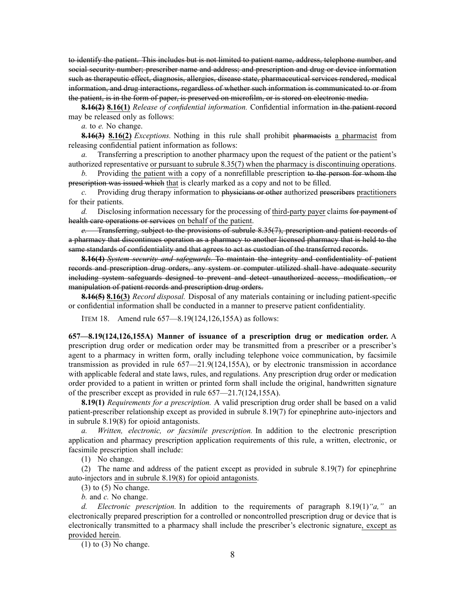to identify the patient. This includes but is not limited to patient name, address, telephone number, and social security number; prescriber name and address; and prescription and drug or device information such as therapeutic effect, diagnosis, allergies, disease state, pharmaceutical services rendered, medical information, and drug interactions, regardless of whether such information is communicated to or from the patient, is in the form of paper, is preserved on microfilm, or is stored on electronic media.

**8.16(2) 8.16(1)** *Release of confidential information.* Confidential information in the patient record may be released only as follows:

*a.* to *e.* No change.

**8.16(3) 8.16(2)** *Exceptions.* Nothing in this rule shall prohibit pharmacists <sup>a</sup> pharmacist from releasing confidential patient information as follows:

*a.* Transferring a prescription to another pharmacy upon the request of the patient or the patient's authorized representative or pursuan<sup>t</sup> to subrule [8.35\(7\)](https://www.legis.iowa.gov/docs/iac/rule/657.8.35.pdf) when the pharmacy is discontinuing operations.

*b.* Providing the patient with <sup>a</sup> copy of <sup>a</sup> nonrefillable prescription to the person for whom the prescription was issued which that is clearly marked as <sup>a</sup> copy and not to be filled.

*c.* Providing drug therapy information to physicians or other authorized prescribers practitioners for their patients.

*d.* Disclosing information necessary for the processing of third-party payer claims for paymen<sup>t</sup> of health care operations or services on behalf of the patient.

*e.* Transferring, subject to the provisions of subrule [8.35\(7\)](https://www.legis.iowa.gov/docs/iac/rule/657.8.35.pdf), prescription and patient records of <sup>a</sup> pharmacy that discontinues operation as <sup>a</sup> pharmacy to another licensed pharmacy that is held to the same standards of confidentiality and that agrees to act as custodian of the transferred records.

**8.16(4)** *System security and safeguards.* To maintain the integrity and confidentiality of patient records and prescription drug orders, any system or computer utilized shall have adequate security including system safeguards designed to preven<sup>t</sup> and detect unauthorized access, modification, or manipulation of patient records and prescription drug orders.

**8.16(5) 8.16(3)** *Record disposal.* Disposal of any materials containing or including patient-specific or confidential information shall be conducted in <sup>a</sup> manner to preserve patient confidentiality.

ITEM 18. Amend rule 657—8.19(124,126,155A) as follows:

**657—8.19(124,126,155A) Manner of issuance of <sup>a</sup> prescription drug or medication order.** A prescription drug order or medication order may be transmitted from <sup>a</sup> prescriber or <sup>a</sup> prescriber's agen<sup>t</sup> to <sup>a</sup> pharmacy in written form, orally including telephone voice communication, by facsimile transmission as provided in rule [657—21.9](https://www.legis.iowa.gov/docs/iac/rule/657.21.9.pdf)(124,155A), or by electronic transmission in accordance with applicable federal and state laws, rules, and regulations. Any prescription drug order or medication order provided to <sup>a</sup> patient in written or printed form shall include the original, handwritten signature of the prescriber excep<sup>t</sup> as provided in rule [657—21.7](https://www.legis.iowa.gov/docs/iac/rule/657.21.7.pdf)(124,155A).

**8.19(1)** *Requirements for <sup>a</sup> prescription.* A valid prescription drug order shall be based on <sup>a</sup> valid patient-prescriber relationship excep<sup>t</sup> as provided in subrule [8.19\(7\)](https://www.legis.iowa.gov/docs/iac/rule/657.8.19.pdf) for epinephrine auto-injectors and in subrule [8.19\(8\)](https://www.legis.iowa.gov/docs/iac/rule/657.8.19.pdf) for opioid antagonists.

*a. Written, electronic, or facsimile prescription.* In addition to the electronic prescription application and pharmacy prescription application requirements of this rule, <sup>a</sup> written, electronic, or facsimile prescription shall include:

(1) No change.

(2) The name and address of the patient excep<sup>t</sup> as provided in subrule [8.19\(7\)](https://www.legis.iowa.gov/docs/iac/rule/657.8.19.pdf) for epinephrine auto-injectors and in subrule [8.19\(8\)](https://www.legis.iowa.gov/docs/iac/rule/657.8.19.pdf) for opioid antagonists.

 $(3)$  to  $(5)$  No change.

*b.* and *c.* No change.

*d. Electronic prescription.* In addition to the requirements of paragraph [8.19\(1\)](https://www.legis.iowa.gov/docs/iac/rule/657.8.19.pdf)*"a,"* an electronically prepared prescription for <sup>a</sup> controlled or noncontrolled prescription drug or device that is electronically transmitted to <sup>a</sup> pharmacy shall include the prescriber's electronic signature, excep<sup>t</sup> as provided herein.

 $(1)$  to  $(3)$  No change.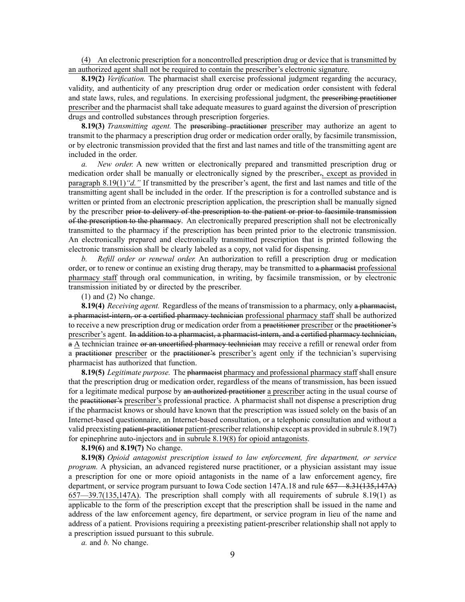(4) An electronic prescription for <sup>a</sup> noncontrolled prescription drug or device that is transmitted by an authorized agen<sup>t</sup> shall not be required to contain the prescriber's electronic signature.

**8.19(2)** *Verification.* The pharmacist shall exercise professional judgment regarding the accuracy, validity, and authenticity of any prescription drug order or medication order consistent with federal and state laws, rules, and regulations. In exercising professional judgment, the prescribing practitioner prescriber and the pharmacist shall take adequate measures to guard against the diversion of prescription drugs and controlled substances through prescription forgeries.

**8.19(3)** *Transmitting agent.* The prescribing practitioner prescriber may authorize an agen<sup>t</sup> to transmit to the pharmacy <sup>a</sup> prescription drug order or medication order orally, by facsimile transmission, or by electronic transmission provided that the first and last names and title of the transmitting agen<sup>t</sup> are included in the order.

*a. New order.* A new written or electronically prepared and transmitted prescription drug or medication order shall be manually or electronically signed by the prescriber., excep<sup>t</sup> as provided in paragraph [8.19\(1\)](https://www.legis.iowa.gov/docs/iac/rule/657.8.19.pdf)*"d."* If transmitted by the prescriber's agent, the first and last names and title of the transmitting agen<sup>t</sup> shall be included in the order. If the prescription is for <sup>a</sup> controlled substance and is written or printed from an electronic prescription application, the prescription shall be manually signed by the prescriber prior to delivery of the prescription to the patient or prior to facsimile transmission of the prescription to the pharmacy. An electronically prepared prescription shall not be electronically transmitted to the pharmacy if the prescription has been printed prior to the electronic transmission. An electronically prepared and electronically transmitted prescription that is printed following the electronic transmission shall be clearly labeled as <sup>a</sup> copy, not valid for dispensing.

*b. Refill order or renewal order.* An authorization to refill <sup>a</sup> prescription drug or medication order, or to renew or continue an existing drug therapy, may be transmitted to a pharmacist professional pharmacy staff through oral communication, in writing, by facsimile transmission, or by electronic transmission initiated by or directed by the prescriber.

(1) and (2) No change.

**8.19(4)** *Receiving agent.* Regardless of the means of transmission to <sup>a</sup> pharmacy, only <sup>a</sup> pharmacist, <sup>a</sup> pharmacist-intern, or <sup>a</sup> certified pharmacy technician professional pharmacy staff shall be authorized to receive <sup>a</sup> new prescription drug or medication order from <sup>a</sup> practitioner prescriber or the practitioner's prescriber's agent. In addition to a pharmacist, a pharmacist-intern, and a certified pharmacy technician, a A technician trainee or an uncertified pharmacy technician may receive a refill or renewal order from a practitioner prescriber or the practitioner's prescriber's agent only if the technician's supervising pharmacist has authorized that function.

**8.19(5)** *Legitimate purpose.* The pharmacist pharmacy and professional pharmacy staff shall ensure that the prescription drug or medication order, regardless of the means of transmission, has been issued for <sup>a</sup> legitimate medical purpose by an authorized practitioner <sup>a</sup> prescriber acting in the usual course of the practitioner's prescriber's professional practice. A pharmacist shall not dispense <sup>a</sup> prescription drug if the pharmacist knows or should have known that the prescription was issued solely on the basis of an Internet-based questionnaire, an Internet-based consultation, or <sup>a</sup> telephonic consultation and without <sup>a</sup> valid preexisting patient-practitioner patient-prescriber relationship excep<sup>t</sup> as provided in subrule [8.19\(7\)](https://www.legis.iowa.gov/docs/iac/rule/657.8.19.pdf) for epinephrine auto-injectors and in subrule [8.19\(8\)](https://www.legis.iowa.gov/docs/iac/rule/657.8.19.pdf) for opioid antagonists.

**8.19(6)** and **8.19(7)** No change.

**8.19(8)** *Opioid antagonist prescription issued to law enforcement, fire department, or service program.* A physician, an advanced registered nurse practitioner, or <sup>a</sup> physician assistant may issue <sup>a</sup> prescription for one or more opioid antagonists in the name of <sup>a</sup> law enforcement agency, fire department, or service program pursuant to Iowa Code section [147A.18](https://www.legis.iowa.gov/docs/ico/section/2017/147A.18.pdf) and rule 657 – 8.31(135,147A) [657—39.7](https://www.legis.iowa.gov/docs/iac/rule/657.39.7.pdf)(135,147A). The prescription shall comply with all requirements of subrule [8.19\(1\)](https://www.legis.iowa.gov/docs/iac/rule/657.8.19.pdf) as applicable to the form of the prescription excep<sup>t</sup> that the prescription shall be issued in the name and address of the law enforcement agency, fire department, or service program in lieu of the name and address of <sup>a</sup> patient. Provisions requiring <sup>a</sup> preexisting patient-prescriber relationship shall not apply to <sup>a</sup> prescription issued pursuan<sup>t</sup> to this subrule.

*a.* and *b.* No change.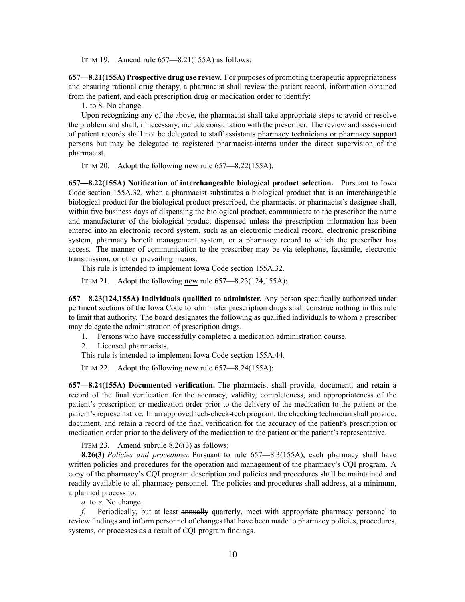ITEM 19. Amend rule 657—8.21(155A) as follows:

**657—8.21(155A) Prospective drug use review.** For purposes of promoting therapeutic appropriateness and ensuring rational drug therapy, <sup>a</sup> pharmacist shall review the patient record, information obtained from the patient, and each prescription drug or medication order to identify:

1. to 8. No change.

Upon recognizing any of the above, the pharmacist shall take appropriate steps to avoid or resolve the problem and shall, if necessary, include consultation with the prescriber. The review and assessment of patient records shall not be delegated to staff assistants pharmacy technicians or pharmacy suppor<sup>t</sup> persons but may be delegated to registered pharmacist-interns under the direct supervision of the pharmacist.

ITEM 20. Adopt the following **new** rule 657—8.22(155A):

**657—8.22(155A) Notification of interchangeable biological product selection.** Pursuant to Iowa Code section [155A.32](https://www.legis.iowa.gov/docs/ico/section/2017/155A.32.pdf), when <sup>a</sup> pharmacist substitutes <sup>a</sup> biological product that is an interchangeable biological product for the biological product prescribed, the pharmacist or pharmacist's designee shall, within five business days of dispensing the biological product, communicate to the prescriber the name and manufacturer of the biological product dispensed unless the prescription information has been entered into an electronic record system, such as an electronic medical record, electronic prescribing system, pharmacy benefit managemen<sup>t</sup> system, or <sup>a</sup> pharmacy record to which the prescriber has access. The manner of communication to the prescriber may be via telephone, facsimile, electronic transmission, or other prevailing means.

This rule is intended to implement Iowa Code section [155A.32](https://www.legis.iowa.gov/docs/ico/section/2017/155A.32.pdf).

ITEM 21. Adopt the following **new** rule 657—8.23(124,155A):

**657—8.23(124,155A) Individuals qualified to administer.** Any person specifically authorized under pertinent sections of the Iowa Code to administer prescription drugs shall construe nothing in this rule to limit that authority. The board designates the following as qualified individuals to whom <sup>a</sup> prescriber may delegate the administration of prescription drugs.

- 1. Persons who have successfully completed <sup>a</sup> medication administration course.
- 2. Licensed pharmacists.

This rule is intended to implement Iowa Code section [155A.44](https://www.legis.iowa.gov/docs/ico/section/2017/155A.44.pdf).

ITEM 22. Adopt the following **new** rule 657—8.24(155A):

**657—8.24(155A) Documented verification.** The pharmacist shall provide, document, and retain <sup>a</sup> record of the final verification for the accuracy, validity, completeness, and appropriateness of the patient's prescription or medication order prior to the delivery of the medication to the patient or the patient's representative. In an approved tech-check-tech program, the checking technician shall provide, document, and retain <sup>a</sup> record of the final verification for the accuracy of the patient's prescription or medication order prior to the delivery of the medication to the patient or the patient's representative.

ITEM 23. Amend subrule 8.26(3) as follows:

**8.26(3)** *Policies and procedures.* Pursuant to rule [657—8.3](https://www.legis.iowa.gov/docs/iac/rule/657.8.3.pdf)(155A), each pharmacy shall have written policies and procedures for the operation and managemen<sup>t</sup> of the pharmacy's CQI program. A copy of the pharmacy's CQI program description and policies and procedures shall be maintained and readily available to all pharmacy personnel. The policies and procedures shall address, at <sup>a</sup> minimum, <sup>a</sup> planned process to:

*a.* to *e.* No change.

*f.* Periodically, but at least annually quarterly, meet with appropriate pharmacy personnel to review findings and inform personnel of changes that have been made to pharmacy policies, procedures, systems, or processes as <sup>a</sup> result of CQI program findings.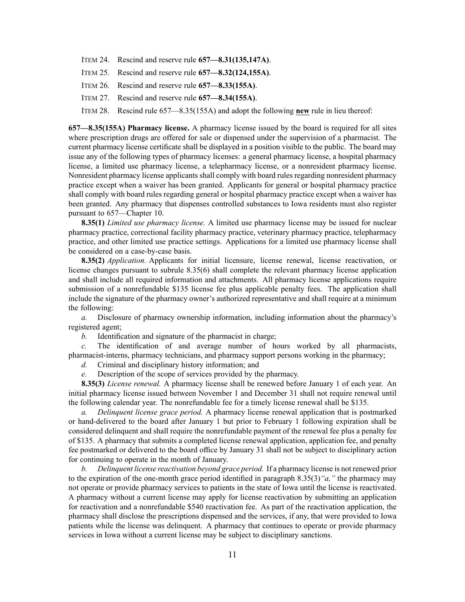- ITEM 24. Rescind and reserve rule **657—8.31(135,147A)**.
- ITEM 25. Rescind and reserve rule **657—8.32(124,155A)**.
- ITEM 26. Rescind and reserve rule **657—8.33(155A)**.
- ITEM 27. Rescind and reserve rule **657—8.34(155A)**.

ITEM 28. Rescind rule 657—8.35(155A) and adopt the following **new** rule in lieu thereof:

**657—8.35(155A) Pharmacy license.** A pharmacy license issued by the board is required for all sites where prescription drugs are offered for sale or dispensed under the supervision of <sup>a</sup> pharmacist. The current pharmacy license certificate shall be displayed in <sup>a</sup> position visible to the public. The board may issue any of the following types of pharmacy licenses: <sup>a</sup> general pharmacy license, <sup>a</sup> hospital pharmacy license, <sup>a</sup> limited use pharmacy license, <sup>a</sup> telepharmacy license, or <sup>a</sup> nonresident pharmacy license. Nonresident pharmacy license applicants shall comply with board rules regarding nonresident pharmacy practice excep<sup>t</sup> when <sup>a</sup> waiver has been granted. Applicants for general or hospital pharmacy practice shall comply with board rules regarding general or hospital pharmacy practice excep<sup>t</sup> when <sup>a</sup> waiver has been granted. Any pharmacy that dispenses controlled substances to Iowa residents must also register pursuan<sup>t</sup> to [657—Chapter](https://www.legis.iowa.gov/docs/iac/chapter/657.10.pdf) 10.

**8.35(1)** *Limited use pharmacy license.* A limited use pharmacy license may be issued for nuclear pharmacy practice, correctional facility pharmacy practice, veterinary pharmacy practice, telepharmacy practice, and other limited use practice settings. Applications for <sup>a</sup> limited use pharmacy license shall be considered on <sup>a</sup> case-by-case basis.

**8.35(2)** *Application.* Applicants for initial licensure, license renewal, license reactivation, or license changes pursuan<sup>t</sup> to subrule [8.35\(6\)](https://www.legis.iowa.gov/docs/iac/rule/657.8.35.pdf) shall complete the relevant pharmacy license application and shall include all required information and attachments. All pharmacy license applications require submission of <sup>a</sup> nonrefundable \$135 license fee plus applicable penalty fees. The application shall include the signature of the pharmacy owner's authorized representative and shall require at <sup>a</sup> minimum the following:

*a.* Disclosure of pharmacy ownership information, including information about the pharmacy's registered agent;

*b.* Identification and signature of the pharmacist in charge;

*c.* The identification of and average number of hours worked by all pharmacists, pharmacist-interns, pharmacy technicians, and pharmacy suppor<sup>t</sup> persons working in the pharmacy;

*d.* Criminal and disciplinary history information; and

*e.* Description of the scope of services provided by the pharmacy.

**8.35(3)** *License renewal.* A pharmacy license shall be renewed before January 1 of each year. An initial pharmacy license issued between November 1 and December 31 shall not require renewal until the following calendar year. The nonrefundable fee for <sup>a</sup> timely license renewal shall be \$135.

*a. Delinquent license grace period.* A pharmacy license renewal application that is postmarked or hand-delivered to the board after January 1 but prior to February 1 following expiration shall be considered delinquent and shall require the nonrefundable paymen<sup>t</sup> of the renewal fee plus <sup>a</sup> penalty fee of \$135. A pharmacy that submits <sup>a</sup> completed license renewal application, application fee, and penalty fee postmarked or delivered to the board office by January 31 shall not be subject to disciplinary action for continuing to operate in the month of January.

*b. Delinquent license reactivation beyond grace period.* If <sup>a</sup> pharmacy license is not renewed prior to the expiration of the one-month grace period identified in [paragrap](https://www.legis.iowa.gov/docs/iac/chapter/657.835.pdf)h 8.35(3)*"a,"* the pharmacy may not operate or provide pharmacy services to patients in the state of Iowa until the license is reactivated. A pharmacy without <sup>a</sup> current license may apply for license reactivation by submitting an application for reactivation and <sup>a</sup> nonrefundable \$540 reactivation fee. As par<sup>t</sup> of the reactivation application, the pharmacy shall disclose the prescriptions dispensed and the services, if any, that were provided to Iowa patients while the license was delinquent. A pharmacy that continues to operate or provide pharmacy services in Iowa without <sup>a</sup> current license may be subject to disciplinary sanctions.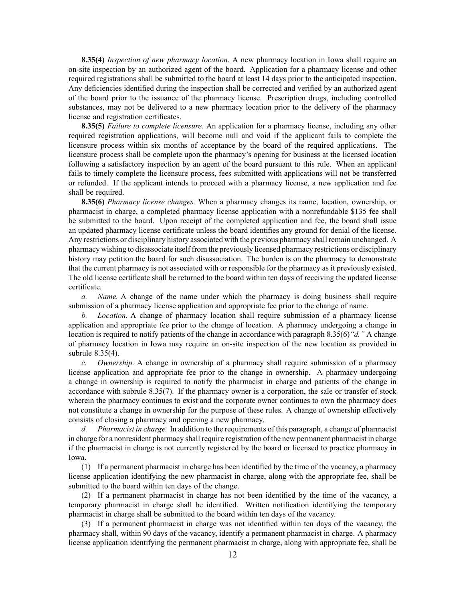**8.35(4)** *Inspection of new pharmacy location.* A new pharmacy location in Iowa shall require an on-site inspection by an authorized agen<sup>t</sup> of the board. Application for <sup>a</sup> pharmacy license and other required registrations shall be submitted to the board at least 14 days prior to the anticipated inspection. Any deficiencies identified during the inspection shall be corrected and verified by an authorized agen<sup>t</sup> of the board prior to the issuance of the pharmacy license. Prescription drugs, including controlled substances, may not be delivered to <sup>a</sup> new pharmacy location prior to the delivery of the pharmacy license and registration certificates.

**8.35(5)** *Failure to complete licensure.* An application for <sup>a</sup> pharmacy license, including any other required registration applications, will become null and void if the applicant fails to complete the licensure process within six months of acceptance by the board of the required applications. The licensure process shall be complete upon the pharmacy's opening for business at the licensed location following <sup>a</sup> satisfactory inspection by an agen<sup>t</sup> of the board pursuan<sup>t</sup> to this rule. When an applicant fails to timely complete the licensure process, fees submitted with applications will not be transferred or refunded. If the applicant intends to proceed with <sup>a</sup> pharmacy license, <sup>a</sup> new application and fee shall be required.

**8.35(6)** *Pharmacy license changes.* When <sup>a</sup> pharmacy changes its name, location, ownership, or pharmacist in charge, <sup>a</sup> completed pharmacy license application with <sup>a</sup> nonrefundable \$135 fee shall be submitted to the board. Upon receipt of the completed application and fee, the board shall issue an updated pharmacy license certificate unless the board identifies any ground for denial of the license. Any restrictions or disciplinary history associated with the previous pharmacy shall remain unchanged. A pharmacy wishing to disassociate itself from the previously licensed pharmacy restrictions or disciplinary history may petition the board for such disassociation. The burden is on the pharmacy to demonstrate that the current pharmacy is not associated with or responsible for the pharmacy as it previously existed. The old license certificate shall be returned to the board within ten days of receiving the updated license certificate.

*a. Name.* A change of the name under which the pharmacy is doing business shall require submission of <sup>a</sup> pharmacy license application and appropriate fee prior to the change of name.

*b. Location.* A change of pharmacy location shall require submission of <sup>a</sup> pharmacy license application and appropriate fee prior to the change of location. A pharmacy undergoing <sup>a</sup> change in location is required to notify patients of the change in accordance with paragraph [8.35\(6\)](https://www.legis.iowa.gov/docs/iac/rule/657.8.35.pdf)*"d."* A change of pharmacy location in Iowa may require an on-site inspection of the new location as provided in subrule [8.35\(4\)](https://www.legis.iowa.gov/docs/iac/rule/657.8.35.pdf).

*c. Ownership.* A change in ownership of <sup>a</sup> pharmacy shall require submission of <sup>a</sup> pharmacy license application and appropriate fee prior to the change in ownership. A pharmacy undergoing <sup>a</sup> change in ownership is required to notify the pharmacist in charge and patients of the change in accordance with subrule [8.35\(7\)](https://www.legis.iowa.gov/docs/iac/rule/657.8.35.pdf). If the pharmacy owner is <sup>a</sup> corporation, the sale or transfer of stock wherein the pharmacy continues to exist and the corporate owner continues to own the pharmacy does not constitute <sup>a</sup> change in ownership for the purpose of these rules. A change of ownership effectively consists of closing <sup>a</sup> pharmacy and opening <sup>a</sup> new pharmacy.

*d. Pharmacist in charge.* In addition to the requirements of this paragraph, <sup>a</sup> change of pharmacist in charge for <sup>a</sup> nonresident pharmacy shall require registration of the new permanen<sup>t</sup> pharmacist in charge if the pharmacist in charge is not currently registered by the board or licensed to practice pharmacy in Iowa.

(1) If <sup>a</sup> permanen<sup>t</sup> pharmacist in charge has been identified by the time of the vacancy, <sup>a</sup> pharmacy license application identifying the new pharmacist in charge, along with the appropriate fee, shall be submitted to the board within ten days of the change.

(2) If <sup>a</sup> permanen<sup>t</sup> pharmacist in charge has not been identified by the time of the vacancy, <sup>a</sup> temporary pharmacist in charge shall be identified. Written notification identifying the temporary pharmacist in charge shall be submitted to the board within ten days of the vacancy.

(3) If <sup>a</sup> permanen<sup>t</sup> pharmacist in charge was not identified within ten days of the vacancy, the pharmacy shall, within 90 days of the vacancy, identify <sup>a</sup> permanen<sup>t</sup> pharmacist in charge. A pharmacy license application identifying the permanen<sup>t</sup> pharmacist in charge, along with appropriate fee, shall be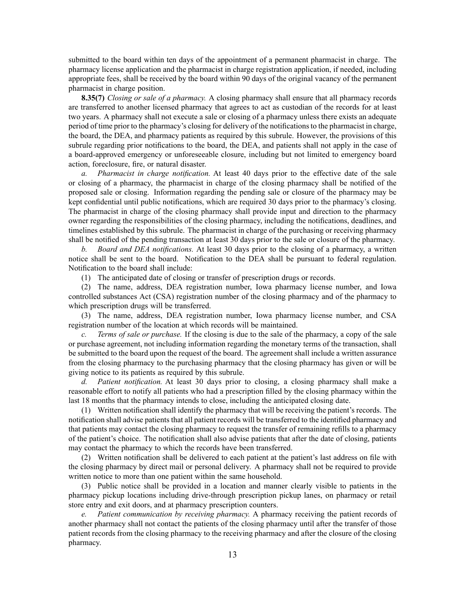submitted to the board within ten days of the appointment of <sup>a</sup> permanen<sup>t</sup> pharmacist in charge. The pharmacy license application and the pharmacist in charge registration application, if needed, including appropriate fees, shall be received by the board within 90 days of the original vacancy of the permanen<sup>t</sup> pharmacist in charge position.

**8.35(7)** *Closing or sale of <sup>a</sup> pharmacy.* A closing pharmacy shall ensure that all pharmacy records are transferred to another licensed pharmacy that agrees to act as custodian of the records for at least two years. A pharmacy shall not execute <sup>a</sup> sale or closing of <sup>a</sup> pharmacy unless there exists an adequate period of time prior to the pharmacy's closing for delivery of the notificationsto the pharmacist in charge, the board, the DEA, and pharmacy patients as required by this subrule. However, the provisions of this subrule regarding prior notifications to the board, the DEA, and patients shall not apply in the case of <sup>a</sup> board-approved emergency or unforeseeable closure, including but not limited to emergency board action, foreclosure, fire, or natural disaster.

*a. Pharmacist in charge notification.* At least 40 days prior to the effective date of the sale or closing of <sup>a</sup> pharmacy, the pharmacist in charge of the closing pharmacy shall be notified of the proposed sale or closing. Information regarding the pending sale or closure of the pharmacy may be kept confidential until public notifications, which are required 30 days prior to the pharmacy's closing. The pharmacist in charge of the closing pharmacy shall provide input and direction to the pharmacy owner regarding the responsibilities of the closing pharmacy, including the notifications, deadlines, and timelines established by this subrule. The pharmacist in charge of the purchasing or receiving pharmacy shall be notified of the pending transaction at least 30 days prior to the sale or closure of the pharmacy.

*b. Board and DEA notifications.* At least 30 days prior to the closing of <sup>a</sup> pharmacy, <sup>a</sup> written notice shall be sent to the board. Notification to the DEA shall be pursuan<sup>t</sup> to federal regulation. Notification to the board shall include:

(1) The anticipated date of closing or transfer of prescription drugs or records.

(2) The name, address, DEA registration number, Iowa pharmacy license number, and Iowa controlled substances Act (CSA) registration number of the closing pharmacy and of the pharmacy to which prescription drugs will be transferred.

(3) The name, address, DEA registration number, Iowa pharmacy license number, and CSA registration number of the location at which records will be maintained.

*Terms of sale or purchase.* If the closing is due to the sale of the pharmacy, a copy of the sale or purchase agreement, not including information regarding the monetary terms of the transaction, shall be submitted to the board upon the reques<sup>t</sup> of the board. The agreemen<sup>t</sup> shall include <sup>a</sup> written assurance from the closing pharmacy to the purchasing pharmacy that the closing pharmacy has given or will be giving notice to its patients as required by this subrule.

*d. Patient notification.* At least 30 days prior to closing, <sup>a</sup> closing pharmacy shall make <sup>a</sup> reasonable effort to notify all patients who had <sup>a</sup> prescription filled by the closing pharmacy within the last 18 months that the pharmacy intends to close, including the anticipated closing date.

(1) Written notification shall identify the pharmacy that will be receiving the patient's records. The notification shall advise patients that all patient records will be transferred to the identified pharmacy and that patients may contact the closing pharmacy to reques<sup>t</sup> the transfer of remaining refills to <sup>a</sup> pharmacy of the patient's choice. The notification shall also advise patients that after the date of closing, patients may contact the pharmacy to which the records have been transferred.

(2) Written notification shall be delivered to each patient at the patient's last address on file with the closing pharmacy by direct mail or personal delivery. A pharmacy shall not be required to provide written notice to more than one patient within the same household.

(3) Public notice shall be provided in <sup>a</sup> location and manner clearly visible to patients in the pharmacy pickup locations including drive-through prescription pickup lanes, on pharmacy or retail store entry and exit doors, and at pharmacy prescription counters.

*e. Patient communication by receiving pharmacy.* A pharmacy receiving the patient records of another pharmacy shall not contact the patients of the closing pharmacy until after the transfer of those patient records from the closing pharmacy to the receiving pharmacy and after the closure of the closing pharmacy.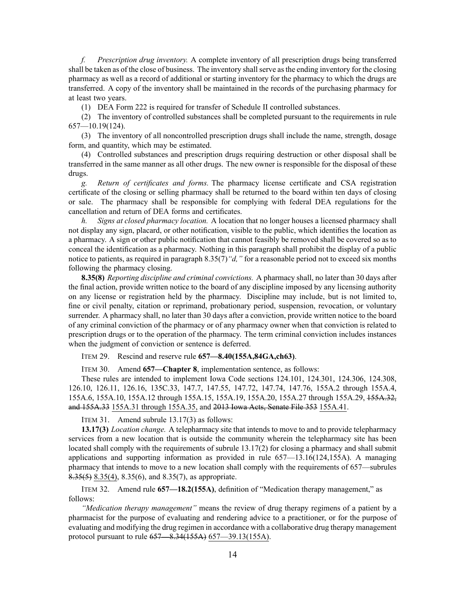*f. Prescription drug inventory.* A complete inventory of all prescription drugs being transferred shall be taken as of the close of business. The inventory shall serve as the ending inventory for the closing pharmacy as well as <sup>a</sup> record of additional or starting inventory for the pharmacy to which the drugs are transferred. A copy of the inventory shall be maintained in the records of the purchasing pharmacy for at least two years.

(1) DEA Form 222 is required for transfer of Schedule II controlled substances.

(2) The inventory of controlled substances shall be completed pursuan<sup>t</sup> to the requirements in rule [657—10.19](https://www.legis.iowa.gov/docs/iac/rule/657.10.19.pdf)(124).

(3) The inventory of all noncontrolled prescription drugs shall include the name, strength, dosage form, and quantity, which may be estimated.

(4) Controlled substances and prescription drugs requiring destruction or other disposal shall be transferred in the same manner as all other drugs. The new owner is responsible for the disposal of these drugs.

*g. Return of certificates and forms.* The pharmacy license certificate and CSA registration certificate of the closing or selling pharmacy shall be returned to the board within ten days of closing or sale. The pharmacy shall be responsible for complying with federal DEA regulations for the cancellation and return of DEA forms and certificates.

*h. Signs at closed pharmacy location.* A location that no longer houses <sup>a</sup> licensed pharmacy shall not display any sign, placard, or other notification, visible to the public, which identifies the location as <sup>a</sup> pharmacy. A sign or other public notification that cannot feasibly be removed shall be covered so as to conceal the identification as <sup>a</sup> pharmacy. Nothing in this paragraph shall prohibit the display of <sup>a</sup> public notice to patients, as required in paragraph [8.35\(7\)](https://www.legis.iowa.gov/docs/iac/rule/657.8.35.pdf)*"d,"* for <sup>a</sup> reasonable period not to exceed six months following the pharmacy closing.

**8.35(8)** *Reporting discipline and criminal convictions.* A pharmacy shall, no later than 30 days after the final action, provide written notice to the board of any discipline imposed by any licensing authority on any license or registration held by the pharmacy. Discipline may include, but is not limited to, fine or civil penalty, citation or reprimand, probationary period, suspension, revocation, or voluntary surrender. A pharmacy shall, no later than 30 days after <sup>a</sup> conviction, provide written notice to the board of any criminal conviction of the pharmacy or of any pharmacy owner when that conviction is related to prescription drugs or to the operation of the pharmacy. The term criminal conviction includes instances when the judgment of conviction or sentence is deferred.

ITEM 29. Rescind and reserve rule **657—8.40(155A,84GA,ch63)**.

ITEM 30. Amend **657—Chapter 8**, implementation sentence, as follows:

These rules are intended to implement Iowa Code sections [124.101](https://www.legis.iowa.gov/docs/ico/section/124.101.pdf), [124.301](https://www.legis.iowa.gov/docs/ico/section/124.301.pdf), [124.306](https://www.legis.iowa.gov/docs/ico/section/124.306.pdf), [124.308](https://www.legis.iowa.gov/docs/ico/section/124.308.pdf), [126.10](https://www.legis.iowa.gov/docs/ico/section/126.10.pdf), [126.11](https://www.legis.iowa.gov/docs/ico/section/126.11.pdf), [126.16](https://www.legis.iowa.gov/docs/ico/section/126.16.pdf), [135C.33](https://www.legis.iowa.gov/docs/ico/section/135C.33.pdf), [147.7](https://www.legis.iowa.gov/docs/ico/section/147.7.pdf), [147.55](https://www.legis.iowa.gov/docs/ico/section/147.55.pdf), [147.72](https://www.legis.iowa.gov/docs/ico/section/147.72.pdf), [147.74](https://www.legis.iowa.gov/docs/ico/section/147.74.pdf), [147.76](https://www.legis.iowa.gov/docs/ico/section/147.76.pdf), 155A.2 [through](https://www.legis.iowa.gov/docs/ico/section/155A.2-4.pdf) 155A.4, [155A.6](https://www.legis.iowa.gov/docs/ico/section/155A.6.pdf), [155A.10](https://www.legis.iowa.gov/docs/ico/section/155A.10.pdf), 155A.12 through [155A.15](https://www.legis.iowa.gov/docs/ico/section/155A.12-15.pdf), [155A.19](https://www.legis.iowa.gov/docs/ico/section/155A.19.pdf), [155A.20](https://www.legis.iowa.gov/docs/ico/section/155A.20.pdf), 155A.27 through [155A.29](https://www.legis.iowa.gov/docs/ico/section/155A.27-29.pdf), [155A.32](https://www.legis.iowa.gov/docs/ico/section/155A.32.pdf), and [155A.33](https://www.legis.iowa.gov/docs/ico/section/155A.33.pdf) 155A.31 through [155A.35](https://www.legis.iowa.gov/docs/ico/section/2017/155A.31-35.pdf), and 2013 Iowa Acts, Senate File 353 [155A.41](https://www.legis.iowa.gov/docs/ico/section/2017/155A.41.pdf).

ITEM 31. Amend subrule 13.17(3) as follows:

**13.17(3)** *Location change.* A telepharmacy site that intends to move to and to provide telepharmacy services from <sup>a</sup> new location that is outside the community wherein the telepharmacy site has been located shall comply with the requirements of subrule [13.17\(2\)](https://www.legis.iowa.gov/docs/iac/rule/657.13.17.pdf) for closing <sup>a</sup> pharmacy and shall submit applications and supporting information as provided in rule [657—13.16](https://www.legis.iowa.gov/docs/iac/rule/657.13.16.pdf)(124,155A). A managing pharmacy that intends to move to <sup>a</sup> new location shall comply with the requirements of 657—subrules [8.35\(5\)](https://www.legis.iowa.gov/docs/iac/rule/657.8.35.pdf) [8.35\(4\)](https://www.legis.iowa.gov/docs/iac/rule/657.8.35.pdf), [8.35\(6\)](https://www.legis.iowa.gov/docs/iac/rule/657.8.35.pdf), and [8.35\(7\)](https://www.legis.iowa.gov/docs/iac/rule/657.8.35.pdf), as appropriate.

ITEM 32. Amend rule **657—18.2(155A)**, definition of "Medication therapy management," as follows:

*"Medication therapy management"* means the review of drug therapy regimens of <sup>a</sup> patient by <sup>a</sup> pharmacist for the purpose of evaluating and rendering advice to <sup>a</sup> practitioner, or for the purpose of evaluating and modifying the drug regimen in accordance with <sup>a</sup> collaborative drug therapy managemen<sup>t</sup> protocol pursuan<sup>t</sup> to rule [657—8.34](https://www.legis.iowa.gov/docs/iac/rule/657.8.34.pdf)(155A) [657—39.13](https://www.legis.iowa.gov/docs/iac/rule/657.39.13.pdf)(155A).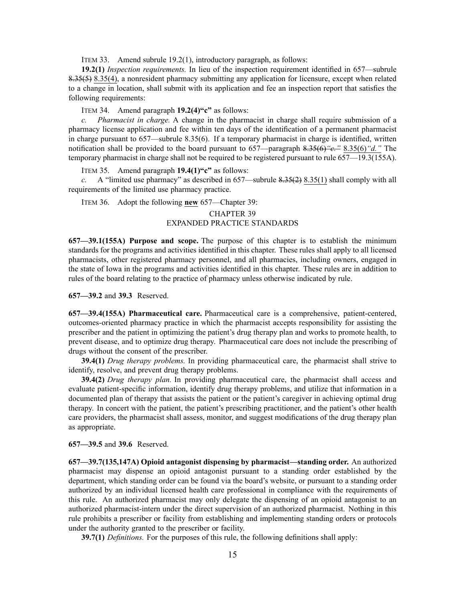ITEM 33. Amend subrule 19.2(1), introductory paragraph, as follows:

**19.2(1)** *Inspection requirements.* In lieu of the inspection requirement identified in 657—subrule [8.35\(5\)](https://www.legis.iowa.gov/docs/iac/rule/657.8.35.pdf) [8.35\(4\)](https://www.legis.iowa.gov/docs/iac/rule/657.8.35.pdf), <sup>a</sup> nonresident pharmacy submitting any application for licensure, excep<sup>t</sup> when related to <sup>a</sup> change in location, shall submit with its application and fee an inspection repor<sup>t</sup> that satisfies the following requirements:

ITEM 34. Amend paragraph **19.2(4)"c"** as follows:

*c. Pharmacist in charge.* A change in the pharmacist in charge shall require submission of <sup>a</sup> pharmacy license application and fee within ten days of the identification of <sup>a</sup> permanen<sup>t</sup> pharmacist in charge pursuan<sup>t</sup> to [657—subrule](https://www.legis.iowa.gov/docs/iac/rule/657.8.35.pdf) 8.35(6). If <sup>a</sup> temporary pharmacist in charge is identified, written notification shall be provided to the board pursuan<sup>t</sup> to 657—paragraph [8.35\(6\)](https://www.legis.iowa.gov/docs/iac/rule/657.8.35.pdf)*"c."* [8.35\(6\)](https://www.legis.iowa.gov/docs/iac/rule/657.8.35.pdf)*"d."* The temporary pharmacist in charge shall not be required to be registered pursuant to rule [657—19.3](https://www.legis.iowa.gov/docs/iac/rule/657.19.3.pdf)(155A).

ITEM 35. Amend paragraph **19.4(1)"c"** as follows:

*c.* A "limited use pharmacy" as described in 657—subrule [8.35\(2\)](https://www.legis.iowa.gov/docs/iac/rule/657.8.35.pdf) [8.35\(1\)](https://www.legis.iowa.gov/docs/iac/rule/657.8.35.pdf) shall comply with all requirements of the limited use pharmacy practice.

ITEM 36. Adopt the following **new** 657—Chapter 39:

# CHAPTER 39 EXPANDED PRACTICE STANDARDS

**657—39.1(155A) Purpose and scope.** The purpose of this chapter is to establish the minimum standards for the programs and activities identified in this chapter. These rules shall apply to all licensed pharmacists, other registered pharmacy personnel, and all pharmacies, including owners, engaged in the state of Iowa in the programs and activities identified in this chapter. These rules are in addition to rules of the board relating to the practice of pharmacy unless otherwise indicated by rule.

#### **657—39.2** and **39.3** Reserved.

**657—39.4(155A) Pharmaceutical care.** Pharmaceutical care is <sup>a</sup> comprehensive, patient-centered, outcomes-oriented pharmacy practice in which the pharmacist accepts responsibility for assisting the prescriber and the patient in optimizing the patient's drug therapy plan and works to promote health, to preven<sup>t</sup> disease, and to optimize drug therapy. Pharmaceutical care does not include the prescribing of drugs without the consent of the prescriber.

**39.4(1)** *Drug therapy problems.* In providing pharmaceutical care, the pharmacist shall strive to identify, resolve, and preven<sup>t</sup> drug therapy problems.

**39.4(2)** *Drug therapy plan.* In providing pharmaceutical care, the pharmacist shall access and evaluate patient-specific information, identify drug therapy problems, and utilize that information in <sup>a</sup> documented plan of therapy that assists the patient or the patient's caregiver in achieving optimal drug therapy. In concert with the patient, the patient's prescribing practitioner, and the patient's other health care providers, the pharmacist shall assess, monitor, and sugges<sup>t</sup> modifications of the drug therapy plan as appropriate.

**657—39.5** and **39.6** Reserved.

**657—39.7(135,147A) Opioid antagonist dispensing by pharmacist—standing order.** An authorized pharmacist may dispense an opioid antagonist pursuan<sup>t</sup> to <sup>a</sup> standing order established by the department, which standing order can be found via the board's website, or pursuan<sup>t</sup> to <sup>a</sup> standing order authorized by an individual licensed health care professional in compliance with the requirements of this rule. An authorized pharmacist may only delegate the dispensing of an opioid antagonist to an authorized pharmacist-intern under the direct supervision of an authorized pharmacist. Nothing in this rule prohibits <sup>a</sup> prescriber or facility from establishing and implementing standing orders or protocols under the authority granted to the prescriber or facility.

**39.7(1)** *Definitions.* For the purposes of this rule, the following definitions shall apply: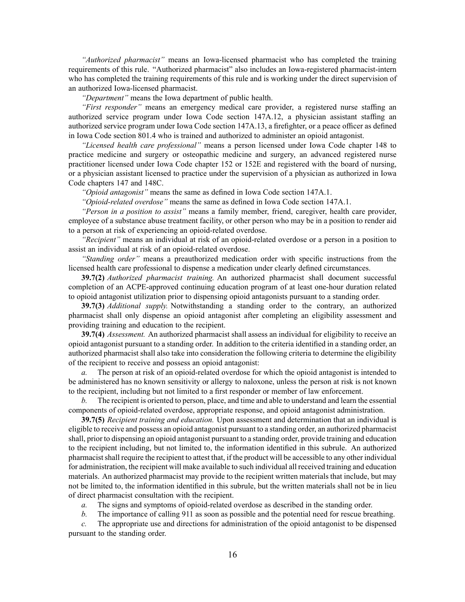*"Authorized pharmacist"* means an Iowa-licensed pharmacist who has completed the training requirements of this rule. "Authorized pharmacist" also includes an Iowa-registered pharmacist-intern who has completed the training requirements of this rule and is working under the direct supervision of an authorized Iowa-licensed pharmacist.

*"Department"* means the Iowa department of public health.

*"First responder"* means an emergency medical care provider, <sup>a</sup> registered nurse staffing an authorized service program under Iowa Code section [147A.12](https://www.legis.iowa.gov/docs/ico/section/2017/147A.12.pdf), <sup>a</sup> physician assistant staffing an authorized service program under Iowa Code section [147A.13](https://www.legis.iowa.gov/docs/ico/section/2017/147A.13.pdf), <sup>a</sup> firefighter, or <sup>a</sup> peace officer as defined in Iowa Code section [801.4](https://www.legis.iowa.gov/docs/ico/section/2017/801.4.pdf) who is trained and authorized to administer an opioid antagonist.

*"Licensed health care professional"* means <sup>a</sup> person licensed under Iowa Code chapter [148](https://www.legis.iowa.gov/docs/ico/chapter/2017/148.pdf) to practice medicine and surgery or osteopathic medicine and surgery, an advanced registered nurse practitioner licensed under Iowa Code chapter [152](https://www.legis.iowa.gov/docs/ico/chapter/2017/152.pdf) or [152E](https://www.legis.iowa.gov/docs/ico/chapter/2017/152E.pdf) and registered with the board of nursing, or <sup>a</sup> physician assistant licensed to practice under the supervision of <sup>a</sup> physician as authorized in Iowa Code chapters [147](https://www.legis.iowa.gov/docs/ico/chapter/2017/147.pdf) and [148C](https://www.legis.iowa.gov/docs/ico/chapter/2017/148C.pdf).

*"Opioid antagonist"* means the same as defined in Iowa Code section [147A.1](https://www.legis.iowa.gov/docs/ico/section/2017/147A.1.pdf).

*"Opioid-related overdose"* means the same as defined in Iowa Code section [147A.1](https://www.legis.iowa.gov/docs/ico/section/2017/147A.1.pdf).

*"Person in <sup>a</sup> position to assist"* means <sup>a</sup> family member, friend, caregiver, health care provider, employee of <sup>a</sup> substance abuse treatment facility, or other person who may be in <sup>a</sup> position to render aid to <sup>a</sup> person at risk of experiencing an opioid-related overdose.

*"Recipient"* means an individual at risk of an opioid-related overdose or <sup>a</sup> person in <sup>a</sup> position to assist an individual at risk of an opioid-related overdose.

*"Standing order"* means <sup>a</sup> preauthorized medication order with specific instructions from the licensed health care professional to dispense <sup>a</sup> medication under clearly defined circumstances.

**39.7(2)** *Authorized pharmacist training.* An authorized pharmacist shall document successful completion of an ACPE-approved continuing education program of at least one-hour duration related to opioid antagonist utilization prior to dispensing opioid antagonists pursuan<sup>t</sup> to <sup>a</sup> standing order.

**39.7(3)** *Additional supply.* Notwithstanding <sup>a</sup> standing order to the contrary, an authorized pharmacist shall only dispense an opioid antagonist after completing an eligibility assessment and providing training and education to the recipient.

**39.7(4)** *Assessment.* An authorized pharmacist shall assess an individual for eligibility to receive an opioid antagonist pursuan<sup>t</sup> to <sup>a</sup> standing order. In addition to the criteria identified in <sup>a</sup> standing order, an authorized pharmacist shall also take into consideration the following criteria to determine the eligibility of the recipient to receive and possess an opioid antagonist:

*a.* The person at risk of an opioid-related overdose for which the opioid antagonist is intended to be administered has no known sensitivity or allergy to naloxone, unless the person at risk is not known to the recipient, including but not limited to <sup>a</sup> first responder or member of law enforcement.

*b.* The recipient is oriented to person, place, and time and able to understand and learn the essential components of opioid-related overdose, appropriate response, and opioid antagonist administration.

**39.7(5)** *Recipient training and education.* Upon assessment and determination that an individual is eligible to receive and possess an opioid antagonist pursuan<sup>t</sup> to <sup>a</sup> standing order, an authorized pharmacist shall, prior to dispensing an opioid antagonist pursuan<sup>t</sup> to <sup>a</sup> standing order, provide training and education to the recipient including, but not limited to, the information identified in this subrule. An authorized pharmacistshall require the recipient to attest that, if the product will be accessible to any other individual for administration, the recipient will make available to such individual all received training and education materials. An authorized pharmacist may provide to the recipient written materials that include, but may not be limited to, the information identified in this subrule, but the written materials shall not be in lieu of direct pharmacist consultation with the recipient.

*a.* The signs and symptoms of opioid-related overdose as described in the standing order.

*b.* The importance of calling 911 as soon as possible and the potential need for rescue breathing.

*c.* The appropriate use and directions for administration of the opioid antagonist to be dispensed pursuan<sup>t</sup> to the standing order.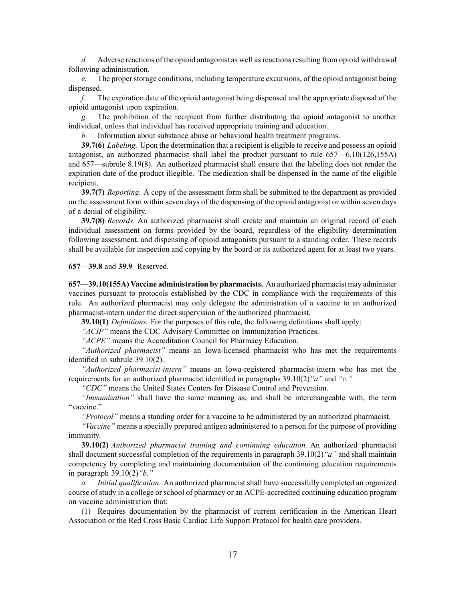*d.* Adverse reactions of the opioid antagonist as well as reactions resulting from opioid withdrawal following administration.

*e.* The proper storage conditions, including temperature excursions, of the opioid antagonist being dispensed.

*f.* The expiration date of the opioid antagonist being dispensed and the appropriate disposal of the opioid antagonist upon expiration.

*g.* The prohibition of the recipient from further distributing the opioid antagonist to another individual, unless that individual has received appropriate training and education.

*h.* Information about substance abuse or behavioral health treatment programs.

**39.7(6)** *Labeling.* Upon the determination that <sup>a</sup> recipient is eligible to receive and possess an opioid antagonist, an authorized pharmacist shall label the product pursuan<sup>t</sup> to rule [657—6.10](https://www.legis.iowa.gov/docs/iac/rule/657.6.10.pdf)(126,155A) and [657—subrule](https://www.legis.iowa.gov/docs/iac/rule/657.8.19.pdf) 8.19(8). An authorized pharmacist shall ensure that the labeling does not render the expiration date of the product illegible. The medication shall be dispensed in the name of the eligible recipient.

**39.7(7)** *Reporting.* A copy of the assessment form shall be submitted to the department as provided on the assessment form within seven days of the dispensing of the opioid antagonist or within seven days of <sup>a</sup> denial of eligibility.

**39.7(8)** *Records.* An authorized pharmacist shall create and maintain an original record of each individual assessment on forms provided by the board, regardless of the eligibility determination following assessment, and dispensing of opioid antagonists pursuan<sup>t</sup> to <sup>a</sup> standing order. These records shall be available for inspection and copying by the board or its authorized agen<sup>t</sup> for at least two years.

**657—39.8** and **39.9** Reserved.

**657—39.10(155A) Vaccine administration by pharmacists.** An authorized pharmacist may administer vaccines pursuan<sup>t</sup> to protocols established by the CDC in compliance with the requirements of this rule. An authorized pharmacist may only delegate the administration of <sup>a</sup> vaccine to an authorized pharmacist-intern under the direct supervision of the authorized pharmacist.

**39.10(1)** *Definitions.* For the purposes of this rule, the following definitions shall apply:

*"ACIP"* means the CDC Advisory Committee on Immunization Practices.

*"ACPE"* means the Accreditation Council for Pharmacy Education.

*"Authorized pharmacist"* means an Iowa-licensed pharmacist who has met the requirements identified in subrule [39.10\(2\)](https://www.legis.iowa.gov/docs/iac/rule/657.39.10.pdf).

*"Authorized pharmacist-intern"* means an Iowa-registered pharmacist-intern who has met the requirements for an authorized pharmacist identified in paragraphs [39.10\(2\)](https://www.legis.iowa.gov/docs/iac/rule/657.39.10.pdf)*"a"* and *"c."*

*"CDC"* means the United States Centers for Disease Control and Prevention.

*"Immunization"* shall have the same meaning as, and shall be interchangeable with, the term "vaccine."

*"Protocol"* means <sup>a</sup> standing order for <sup>a</sup> vaccine to be administered by an authorized pharmacist.

*"Vaccine"* means <sup>a</sup> specially prepared antigen administered to <sup>a</sup> person for the purpose of providing immunity.

**39.10(2)** *Authorized pharmacist training and continuing education.* An authorized pharmacist shall document successful completion of the requirements in paragraph [39.10\(2\)](https://www.legis.iowa.gov/docs/iac/rule/657.39.10.pdf)*"a"* and shall maintain competency by completing and maintaining documentation of the continuing education requirements in paragraph [39.10\(2\)](https://www.legis.iowa.gov/docs/iac/rule/657.39.10.pdf)*"b."*

*a. Initial qualification.* An authorized pharmacist shall have successfully completed an organized course of study in <sup>a</sup> college or school of pharmacy or an ACPE-accredited continuing education program on vaccine administration that:

(1) Requires documentation by the pharmacist of current certification in the American Heart Association or the Red Cross Basic Cardiac Life Support Protocol for health care providers.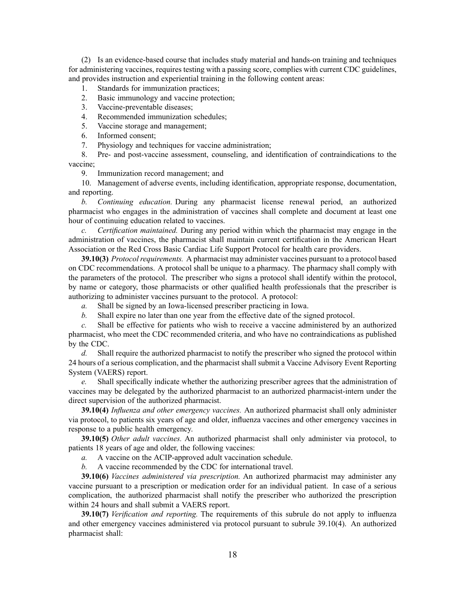(2) Is an evidence-based course that includes study material and hands-on training and techniques for administering vaccines, requires testing with <sup>a</sup> passing score, complies with current CDC guidelines, and provides instruction and experiential training in the following content areas:

- 1. Standards for immunization practices;
- 2. Basic immunology and vaccine protection;
- 3. Vaccine-preventable diseases;
- 4. Recommended immunization schedules;
- 5. Vaccine storage and management;
- 6. Informed consent;
- 7. Physiology and techniques for vaccine administration;

8. Pre- and post-vaccine assessment, counseling, and identification of contraindications to the vaccine;

9. Immunization record management; and

10. Management of adverse events, including identification, appropriate response, documentation, and reporting.

*b. Continuing education.* During any pharmacist license renewal period, an authorized pharmacist who engages in the administration of vaccines shall complete and document at least one hour of continuing education related to vaccines.

*c. Certification maintained.* During any period within which the pharmacist may engage in the administration of vaccines, the pharmacist shall maintain current certification in the American Heart Association or the Red Cross Basic Cardiac Life Support Protocol for health care providers.

**39.10(3)** *Protocolrequirements.* A pharmacist may administer vaccines pursuan<sup>t</sup> to <sup>a</sup> protocol based on CDC recommendations. A protocol shall be unique to <sup>a</sup> pharmacy. The pharmacy shall comply with the parameters of the protocol. The prescriber who signs <sup>a</sup> protocol shall identify within the protocol, by name or category, those pharmacists or other qualified health professionals that the prescriber is authorizing to administer vaccines pursuan<sup>t</sup> to the protocol. A protocol:

*a.* Shall be signed by an Iowa-licensed prescriber practicing in Iowa.

*b.* Shall expire no later than one year from the effective date of the signed protocol.

*c.* Shall be effective for patients who wish to receive <sup>a</sup> vaccine administered by an authorized pharmacist, who meet the CDC recommended criteria, and who have no contraindications as published by the CDC.

*d.* Shall require the authorized pharmacist to notify the prescriber who signed the protocol within 24 hours of <sup>a</sup> serious complication, and the pharmacist shall submit <sup>a</sup> Vaccine Advisory Event Reporting System (VAERS) report.

*e.* Shall specifically indicate whether the authorizing prescriber agrees that the administration of vaccines may be delegated by the authorized pharmacist to an authorized pharmacist-intern under the direct supervision of the authorized pharmacist.

**39.10(4)** *Influenza and other emergency vaccines.* An authorized pharmacist shall only administer via protocol, to patients six years of age and older, influenza vaccines and other emergency vaccines in response to <sup>a</sup> public health emergency.

**39.10(5)** *Other adult vaccines.* An authorized pharmacist shall only administer via protocol, to patients 18 years of age and older, the following vaccines:

*a.* A vaccine on the ACIP-approved adult vaccination schedule.

*b.* A vaccine recommended by the CDC for international travel.

**39.10(6)** *Vaccines administered via prescription.* An authorized pharmacist may administer any vaccine pursuan<sup>t</sup> to <sup>a</sup> prescription or medication order for an individual patient. In case of <sup>a</sup> serious complication, the authorized pharmacist shall notify the prescriber who authorized the prescription within 24 hours and shall submit <sup>a</sup> VAERS report.

**39.10(7)** *Verification and reporting.* The requirements of this subrule do not apply to influenza and other emergency vaccines administered via protocol pursuan<sup>t</sup> to subrule [39.10\(4\)](https://www.legis.iowa.gov/docs/iac/rule/657.39.10.pdf). An authorized pharmacist shall: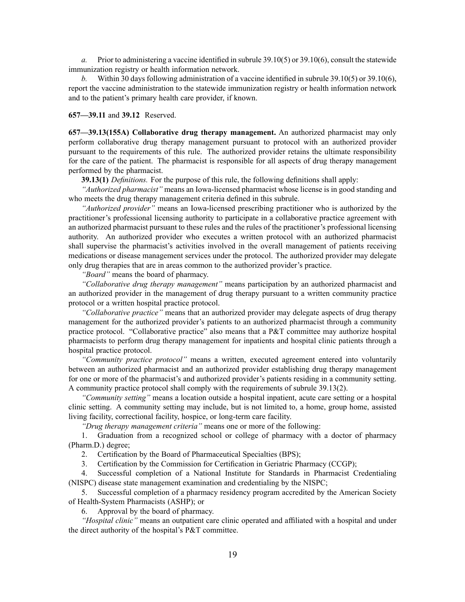*a.* Prior to administering <sup>a</sup> vaccine identified in subrule [39.10\(5\)](https://www.legis.iowa.gov/docs/iac/rule/657.39.10.pdf) or [39.10\(6\)](https://www.legis.iowa.gov/docs/iac/rule/657.39.10.pdf), consult the statewide immunization registry or health information network.

*b.* Within 30 days following administration of <sup>a</sup> vaccine identified in subrule [39.10\(5\)](https://www.legis.iowa.gov/docs/iac/rule/657.39.10.pdf) or [39.10\(6\)](https://www.legis.iowa.gov/docs/iac/rule/657.39.10.pdf), repor<sup>t</sup> the vaccine administration to the statewide immunization registry or health information network and to the patient's primary health care provider, if known.

**657—39.11** and **39.12** Reserved.

**657—39.13(155A) Collaborative drug therapy management.** An authorized pharmacist may only perform collaborative drug therapy managemen<sup>t</sup> pursuan<sup>t</sup> to protocol with an authorized provider pursuan<sup>t</sup> to the requirements of this rule. The authorized provider retains the ultimate responsibility for the care of the patient. The pharmacist is responsible for all aspects of drug therapy managemen<sup>t</sup> performed by the pharmacist.

**39.13(1)** *Definitions.* For the purpose of this rule, the following definitions shall apply:

*"Authorized pharmacist"* means an Iowa-licensed pharmacist whose license is in good standing and who meets the drug therapy managemen<sup>t</sup> criteria defined in this subrule.

*"Authorized provider"* means an Iowa-licensed prescribing practitioner who is authorized by the practitioner's professional licensing authority to participate in <sup>a</sup> collaborative practice agreemen<sup>t</sup> with an authorized pharmacist pursuan<sup>t</sup> to these rules and the rules of the practitioner's professional licensing authority. An authorized provider who executes <sup>a</sup> written protocol with an authorized pharmacist shall supervise the pharmacist's activities involved in the overall managemen<sup>t</sup> of patients receiving medications or disease managemen<sup>t</sup> services under the protocol. The authorized provider may delegate only drug therapies that are in areas common to the authorized provider's practice.

*"Board"* means the board of pharmacy.

*"Collaborative drug therapy management"* means participation by an authorized pharmacist and an authorized provider in the managemen<sup>t</sup> of drug therapy pursuan<sup>t</sup> to <sup>a</sup> written community practice protocol or <sup>a</sup> written hospital practice protocol.

*"Collaborative practice"* means that an authorized provider may delegate aspects of drug therapy managemen<sup>t</sup> for the authorized provider's patients to an authorized pharmacist through <sup>a</sup> community practice protocol. "Collaborative practice" also means that <sup>a</sup> P&T committee may authorize hospital pharmacists to perform drug therapy managemen<sup>t</sup> for inpatients and hospital clinic patients through <sup>a</sup> hospital practice protocol.

*"Community practice protocol"* means <sup>a</sup> written, executed agreemen<sup>t</sup> entered into voluntarily between an authorized pharmacist and an authorized provider establishing drug therapy managemen<sup>t</sup> for one or more of the pharmacist's and authorized provider's patients residing in <sup>a</sup> community setting. A community practice protocol shall comply with the requirements of subrule [39.13\(2\)](https://www.legis.iowa.gov/docs/iac/rule/657.39.13.pdf).

*"Community setting"* means <sup>a</sup> location outside <sup>a</sup> hospital inpatient, acute care setting or <sup>a</sup> hospital clinic setting. A community setting may include, but is not limited to, <sup>a</sup> home, group home, assisted living facility, correctional facility, hospice, or long-term care facility.

*"Drug therapy managemen<sup>t</sup> criteria"* means one or more of the following:

1. Graduation from <sup>a</sup> recognized school or college of pharmacy with <sup>a</sup> doctor of pharmacy (Pharm.D.) degree;

2. Certification by the Board of Pharmaceutical Specialties (BPS);

3. Certification by the Commission for Certification in Geriatric Pharmacy (CCGP);

4. Successful completion of <sup>a</sup> National Institute for Standards in Pharmacist Credentialing (NISPC) disease state managemen<sup>t</sup> examination and credentialing by the NISPC;

5. Successful completion of <sup>a</sup> pharmacy residency program accredited by the American Society of Health-System Pharmacists (ASHP); or

6. Approval by the board of pharmacy.

*"Hospital clinic"* means an outpatient care clinic operated and affiliated with <sup>a</sup> hospital and under the direct authority of the hospital's P&T committee.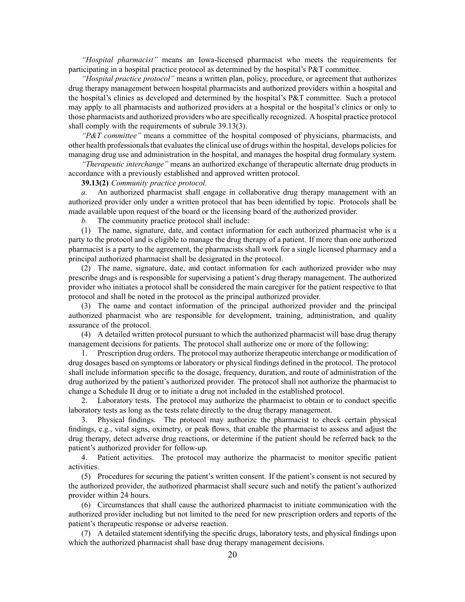*"Hospital pharmacist"* means an Iowa-licensed pharmacist who meets the requirements for participating in <sup>a</sup> hospital practice protocol as determined by the hospital's P&T committee.

*"Hospital practice protocol"* means <sup>a</sup> written plan, policy, procedure, or agreemen<sup>t</sup> that authorizes drug therapy managemen<sup>t</sup> between hospital pharmacists and authorized providers within <sup>a</sup> hospital and the hospital's clinics as developed and determined by the hospital's P&T committee. Such <sup>a</sup> protocol may apply to all pharmacists and authorized providers at <sup>a</sup> hospital or the hospital's clinics or only to those pharmacists and authorized providers who are specifically recognized. A hospital practice protocol shall comply with the requirements of subrule [39.13\(3\)](https://www.legis.iowa.gov/docs/iac/rule/657.39.13.pdf).

*"P&T committee"* means <sup>a</sup> committee of the hospital composed of physicians, pharmacists, and other health professionals that evaluates the clinical use of drugs within the hospital, develops policies for managing drug use and administration in the hospital, and manages the hospital drug formulary system.

*"Therapeutic interchange"* means an authorized exchange of therapeutic alternate drug products in accordance with <sup>a</sup> previously established and approved written protocol.

### **39.13(2)** *Community practice protocol.*

*a.* An authorized pharmacist shall engage in collaborative drug therapy managemen<sup>t</sup> with an authorized provider only under <sup>a</sup> written protocol that has been identified by topic. Protocols shall be made available upon reques<sup>t</sup> of the board or the licensing board of the authorized provider.

*b.* The community practice protocol shall include:

(1) The name, signature, date, and contact information for each authorized pharmacist who is <sup>a</sup> party to the protocol and is eligible to manage the drug therapy of <sup>a</sup> patient. If more than one authorized pharmacist is <sup>a</sup> party to the agreement, the pharmacists shall work for <sup>a</sup> single licensed pharmacy and <sup>a</sup> principal authorized pharmacist shall be designated in the protocol.

(2) The name, signature, date, and contact information for each authorized provider who may prescribe drugs and is responsible for supervising <sup>a</sup> patient's drug therapy management. The authorized provider who initiates <sup>a</sup> protocol shall be considered the main caregiver for the patient respective to that protocol and shall be noted in the protocol as the principal authorized provider.

(3) The name and contact information of the principal authorized provider and the principal authorized pharmacist who are responsible for development, training, administration, and quality assurance of the protocol.

(4) A detailed written protocol pursuan<sup>t</sup> to which the authorized pharmacist will base drug therapy managemen<sup>t</sup> decisions for patients. The protocol shall authorize one or more of the following:

1. Prescription drug orders. The protocol may authorize therapeutic interchange or modification of drug dosages based on symptoms or laboratory or physical findings defined in the protocol. The protocol shall include information specific to the dosage, frequency, duration, and route of administration of the drug authorized by the patient's authorized provider. The protocol shall not authorize the pharmacist to change <sup>a</sup> Schedule II drug or to initiate <sup>a</sup> drug not included in the established protocol.

2. Laboratory tests. The protocol may authorize the pharmacist to obtain or to conduct specific laboratory tests as long as the tests relate directly to the drug therapy management.

3. Physical findings. The protocol may authorize the pharmacist to check certain physical findings, e.g., vital signs, oximetry, or peak flows, that enable the pharmacist to assess and adjust the drug therapy, detect adverse drug reactions, or determine if the patient should be referred back to the patient's authorized provider for follow-up.

4. Patient activities. The protocol may authorize the pharmacist to monitor specific patient activities.

(5) Procedures for securing the patient's written consent. If the patient's consent is not secured by the authorized provider, the authorized pharmacist shall secure such and notify the patient's authorized provider within 24 hours.

(6) Circumstances that shall cause the authorized pharmacist to initiate communication with the authorized provider including but not limited to the need for new prescription orders and reports of the patient's therapeutic response or adverse reaction.

(7) A detailed statement identifying the specific drugs, laboratory tests, and physical findings upon which the authorized pharmacist shall base drug therapy management decisions.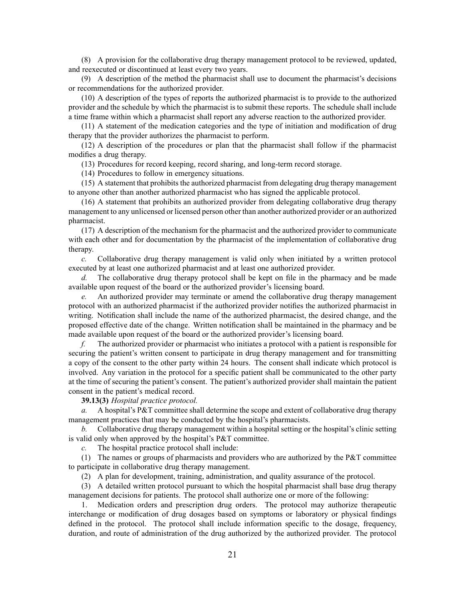(8) A provision for the collaborative drug therapy managemen<sup>t</sup> protocol to be reviewed, updated, and reexecuted or discontinued at least every two years.

(9) A description of the method the pharmacist shall use to document the pharmacist's decisions or recommendations for the authorized provider.

(10) A description of the types of reports the authorized pharmacist is to provide to the authorized provider and the schedule by which the pharmacist is to submit these reports. The schedule shall include <sup>a</sup> time frame within which <sup>a</sup> pharmacist shall repor<sup>t</sup> any adverse reaction to the authorized provider.

(11) A statement of the medication categories and the type of initiation and modification of drug therapy that the provider authorizes the pharmacist to perform.

(12) A description of the procedures or plan that the pharmacist shall follow if the pharmacist modifies <sup>a</sup> drug therapy.

(13) Procedures for record keeping, record sharing, and long-term record storage.

(14) Procedures to follow in emergency situations.

(15) A statement that prohibits the authorized pharmacist from delegating drug therapy managemen<sup>t</sup> to anyone other than another authorized pharmacist who has signed the applicable protocol.

(16) A statement that prohibits an authorized provider from delegating collaborative drug therapy managemen<sup>t</sup> to any unlicensed or licensed person other than another authorized provider or an authorized pharmacist.

(17) A description of the mechanism for the pharmacist and the authorized provider to communicate with each other and for documentation by the pharmacist of the implementation of collaborative drug therapy.

*c.* Collaborative drug therapy managemen<sup>t</sup> is valid only when initiated by <sup>a</sup> written protocol executed by at least one authorized pharmacist and at least one authorized provider.

*d.* The collaborative drug therapy protocol shall be kept on file in the pharmacy and be made available upon reques<sup>t</sup> of the board or the authorized provider's licensing board.

*e.* An authorized provider may terminate or amend the collaborative drug therapy managemen<sup>t</sup> protocol with an authorized pharmacist if the authorized provider notifies the authorized pharmacist in writing. Notification shall include the name of the authorized pharmacist, the desired change, and the proposed effective date of the change. Written notification shall be maintained in the pharmacy and be made available upon reques<sup>t</sup> of the board or the authorized provider's licensing board.

*f.* The authorized provider or pharmacist who initiates <sup>a</sup> protocol with <sup>a</sup> patient is responsible for securing the patient's written consent to participate in drug therapy managemen<sup>t</sup> and for transmitting <sup>a</sup> copy of the consent to the other party within 24 hours. The consent shall indicate which protocol is involved. Any variation in the protocol for <sup>a</sup> specific patient shall be communicated to the other party at the time of securing the patient's consent. The patient's authorized provider shall maintain the patient consent in the patient's medical record.

**39.13(3)** *Hospital practice protocol.*

*a.* A hospital's P&T committee shall determine the scope and extent of collaborative drug therapy managemen<sup>t</sup> practices that may be conducted by the hospital's pharmacists.

*b.* Collaborative drug therapy management within a hospital setting or the hospital's clinic setting is valid only when approved by the hospital's P&T committee.

*c.* The hospital practice protocol shall include:

(1) The names or groups of pharmacists and providers who are authorized by the P&T committee to participate in collaborative drug therapy management.

(2) A plan for development, training, administration, and quality assurance of the protocol.

(3) A detailed written protocol pursuan<sup>t</sup> to which the hospital pharmacist shall base drug therapy managemen<sup>t</sup> decisions for patients. The protocol shall authorize one or more of the following:

1. Medication orders and prescription drug orders. The protocol may authorize therapeutic interchange or modification of drug dosages based on symptoms or laboratory or physical findings defined in the protocol. The protocol shall include information specific to the dosage, frequency, duration, and route of administration of the drug authorized by the authorized provider. The protocol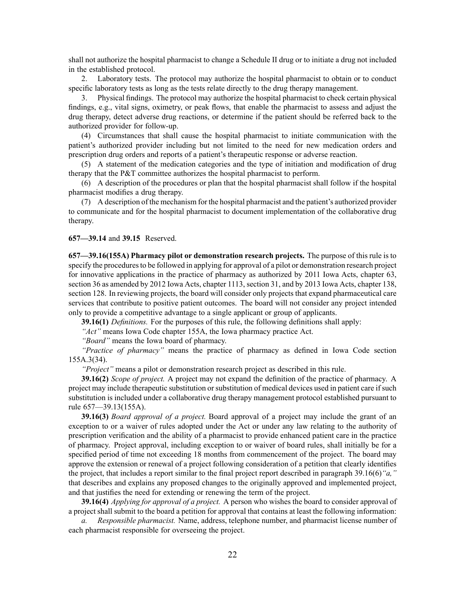shall not authorize the hospital pharmacist to change <sup>a</sup> Schedule II drug or to initiate <sup>a</sup> drug not included in the established protocol.

2. Laboratory tests. The protocol may authorize the hospital pharmacist to obtain or to conduct specific laboratory tests as long as the tests relate directly to the drug therapy management.

3. Physical findings. The protocol may authorize the hospital pharmacist to check certain physical findings, e.g., vital signs, oximetry, or peak flows, that enable the pharmacist to assess and adjust the drug therapy, detect adverse drug reactions, or determine if the patient should be referred back to the authorized provider for follow-up.

(4) Circumstances that shall cause the hospital pharmacist to initiate communication with the patient's authorized provider including but not limited to the need for new medication orders and prescription drug orders and reports of <sup>a</sup> patient's therapeutic response or adverse reaction.

(5) A statement of the medication categories and the type of initiation and modification of drug therapy that the P&T committee authorizes the hospital pharmacist to perform.

(6) A description of the procedures or plan that the hospital pharmacist shall follow if the hospital pharmacist modifies <sup>a</sup> drug therapy.

(7) A description of the mechanism for the hospital pharmacist and the patient's authorized provider to communicate and for the hospital pharmacist to document implementation of the collaborative drug therapy.

## **657—39.14** and **39.15** Reserved.

**657—39.16(155A) Pharmacy pilot or demonstration research projects.** The purpose of this rule is to specify the procedures to be followed in applying for approval of a pilot or demonstration research project for innovative applications in the practice of pharmacy as authorized by 2011 Iowa Acts, chapter 63, section 36 as amended by 2012 Iowa Acts, chapter 1113, section 31, and by 2013 Iowa Acts, chapter 138, section 128. In reviewing projects, the board will consider only projects that expand pharmaceutical care services that contribute to positive patient outcomes. The board will not consider any project intended only to provide <sup>a</sup> competitive advantage to <sup>a</sup> single applicant or group of applicants.

**39.16(1)** *Definitions.* For the purposes of this rule, the following definitions shall apply:

*"Act"* means Iowa Code chapter [155A](https://www.legis.iowa.gov/docs/ico/chapter/2017/155A.pdf), the Iowa pharmacy practice Act.

*"Board"* means the Iowa board of pharmacy.

*"Practice of pharmacy"* means the practice of pharmacy as defined in Iowa Code section [155A.3\(34\)](https://www.legis.iowa.gov/docs/ico/section/2017/155A.3.pdf).

*"Project"* means <sup>a</sup> pilot or demonstration research project as described in this rule.

**39.16(2)** *Scope of project.* A project may not expand the definition of the practice of pharmacy. A project may include therapeutic substitution orsubstitution of medical devices used in patient care ifsuch substitution is included under <sup>a</sup> collaborative drug therapy managemen<sup>t</sup> protocol established pursuan<sup>t</sup> to rule [657—39.13](https://www.legis.iowa.gov/docs/iac/rule/657.39.13.pdf)(155A).

**39.16(3)** *Board approval of <sup>a</sup> project.* Board approval of <sup>a</sup> project may include the gran<sup>t</sup> of an exception to or <sup>a</sup> waiver of rules adopted under the Act or under any law relating to the authority of prescription verification and the ability of <sup>a</sup> pharmacist to provide enhanced patient care in the practice of pharmacy. Project approval, including exception to or waiver of board rules, shall initially be for <sup>a</sup> specified period of time not exceeding 18 months from commencement of the project. The board may approve the extension or renewal of <sup>a</sup> project following consideration of <sup>a</sup> petition that clearly identifies the project, that includes <sup>a</sup> repor<sup>t</sup> similar to the final project repor<sup>t</sup> described in paragraph [39.16\(6\)](https://www.legis.iowa.gov/docs/iac/rule/657.39.16.pdf)*"a,"* that describes and explains any proposed changes to the originally approved and implemented project, and that justifies the need for extending or renewing the term of the project.

**39.16(4)** *Applying for approval of <sup>a</sup> project.* A person who wishes the board to consider approval of <sup>a</sup> project shall submit to the board <sup>a</sup> petition for approval that contains at least the following information:

*a. Responsible pharmacist.* Name, address, telephone number, and pharmacist license number of each pharmacist responsible for overseeing the project.